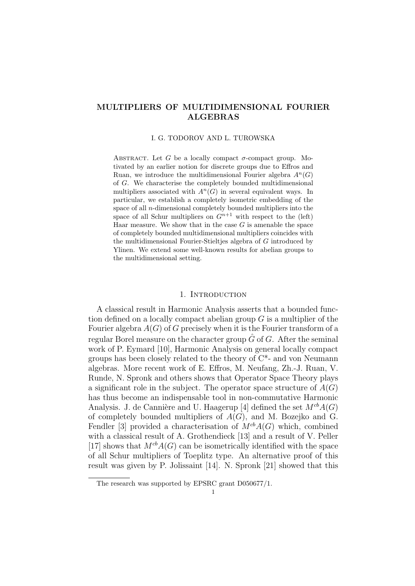### MULTIPLIERS OF MULTIDIMENSIONAL FOURIER ALGEBRAS

#### I. G. TODOROV AND L. TUROWSKA

ABSTRACT. Let G be a locally compact  $\sigma$ -compact group. Motivated by an earlier notion for discrete groups due to Effros and Ruan, we introduce the multidimensional Fourier algebra  $A<sup>n</sup>(G)$ of G. We characterise the completely bounded multidimensional multipliers associated with  $A<sup>n</sup>(G)$  in several equivalent ways. In particular, we establish a completely isometric embedding of the space of all n-dimensional completely bounded multipliers into the space of all Schur multipliers on  $G^{n+1}$  with respect to the (left) Haar measure. We show that in the case  $G$  is amenable the space of completely bounded multidimensional multipliers coincides with the multidimensional Fourier-Stieltjes algebra of G introduced by Ylinen. We extend some well-known results for abelian groups to the multidimensional setting.

### 1. INTRODUCTION

A classical result in Harmonic Analysis asserts that a bounded function defined on a locally compact abelian group  $G$  is a multiplier of the Fourier algebra  $A(G)$  of G precisely when it is the Fourier transform of a regular Borel measure on the character group  $\hat{G}$  of G. After the seminal work of P. Eymard [10], Harmonic Analysis on general locally compact groups has been closely related to the theory of  $C^*$ - and von Neumann algebras. More recent work of E. Effros, M. Neufang, Zh.-J. Ruan, V. Runde, N. Spronk and others shows that Operator Space Theory plays a significant role in the subject. The operator space structure of  $A(G)$ has thus become an indispensable tool in non-commutative Harmonic Analysis. J. de Cannière and U. Haagerup [4] defined the set  $M^{cb}A(G)$ of completely bounded multipliers of  $A(G)$ , and M. Bozejko and G. Fendler [3] provided a characterisation of  $M^{cb}A(G)$  which, combined with a classical result of A. Grothendieck [13] and a result of V. Peller [17] shows that  $M^{cb}A(G)$  can be isometrically identified with the space of all Schur multipliers of Toeplitz type. An alternative proof of this result was given by P. Jolissaint [14]. N. Spronk [21] showed that this

The research was supported by EPSRC grant D050677/1.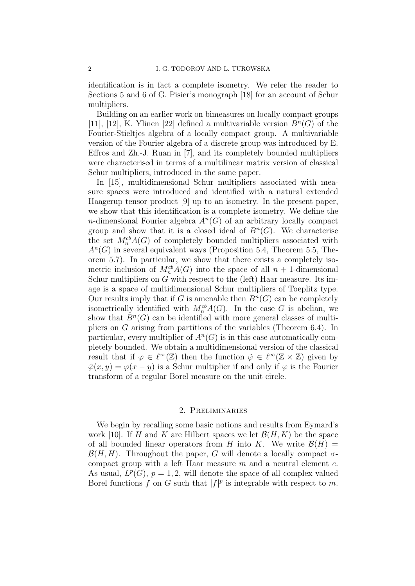identification is in fact a complete isometry. We refer the reader to Sections 5 and 6 of G. Pisier's monograph [18] for an account of Schur multipliers.

Building on an earlier work on bimeasures on locally compact groups [11], [12], K. Ylinen [22] defined a multivariable version  $B<sup>n</sup>(G)$  of the Fourier-Stieltjes algebra of a locally compact group. A multivariable version of the Fourier algebra of a discrete group was introduced by E. Effros and Zh.-J. Ruan in [7], and its completely bounded multipliers were characterised in terms of a multilinear matrix version of classical Schur multipliers, introduced in the same paper.

In [15], multidimensional Schur multipliers associated with measure spaces were introduced and identified with a natural extended Haagerup tensor product [9] up to an isometry. In the present paper, we show that this identification is a complete isometry. We define the *n*-dimensional Fourier algebra  $A<sup>n</sup>(G)$  of an arbitrary locally compact group and show that it is a closed ideal of  $B<sup>n</sup>(G)$ . We characterise the set  $M_n^{cb}A(G)$  of completely bounded multipliers associated with  $A<sup>n</sup>(G)$  in several equivalent ways (Proposition 5.4, Theorem 5.5, Theorem 5.7). In particular, we show that there exists a completely isometric inclusion of  $M_n^{cb}A(G)$  into the space of all  $n+1$ -dimensional Schur multipliers on G with respect to the (left) Haar measure. Its image is a space of multidimensional Schur multipliers of Toeplitz type. Our results imply that if G is amenable then  $B<sup>n</sup>(G)$  can be completely isometrically identified with  $M_n^{cb}A(G)$ . In the case G is abelian, we show that  $B<sup>n</sup>(G)$  can be identified with more general classes of multipliers on G arising from partitions of the variables (Theorem 6.4). In particular, every multiplier of  $A<sup>n</sup>(G)$  is in this case automatically completely bounded. We obtain a multidimensional version of the classical result that if  $\varphi \in \ell^{\infty}(\mathbb{Z})$  then the function  $\tilde{\varphi} \in \ell^{\infty}(\mathbb{Z} \times \mathbb{Z})$  given by  $\tilde{\varphi}(x, y) = \varphi(x - y)$  is a Schur multiplier if and only if  $\varphi$  is the Fourier transform of a regular Borel measure on the unit circle.

### 2. Preliminaries

We begin by recalling some basic notions and results from Eymard's work [10]. If H and K are Hilbert spaces we let  $\mathcal{B}(H, K)$  be the space of all bounded linear operators from H into K. We write  $\mathcal{B}(H) =$  $\mathcal{B}(H, H)$ . Throughout the paper, G will denote a locally compact  $\sigma$ compact group with a left Haar measure  $m$  and a neutral element  $e$ . As usual,  $L^p(G)$ ,  $p = 1, 2$ , will denote the space of all complex valued Borel functions f on G such that  $|f|^p$  is integrable with respect to m.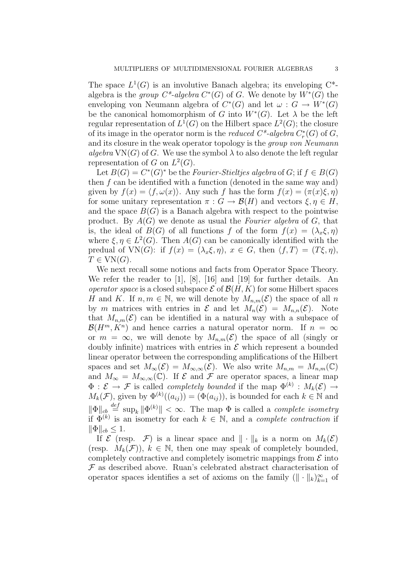The space  $L^1(G)$  is an involutive Banach algebra; its enveloping  $C^*$ algebra is the group  $C^*$ -algebra  $C^*(G)$  of G. We denote by  $W^*(G)$  the enveloping von Neumann algebra of  $C^*(G)$  and let  $\omega : G \to W^*(G)$ be the canonical homomorphism of G into  $W^*(G)$ . Let  $\lambda$  be the left regular representation of  $L^1(G)$  on the Hilbert space  $L^2(G)$ ; the closure of its image in the operator norm is the *reduced*  $C^*$ -algebra  $C^*_r(G)$  of  $G$ , and its closure in the weak operator topology is the group von Neumann algebra  $VN(G)$  of G. We use the symbol  $\lambda$  to also denote the left regular representation of G on  $L^2(G)$ .

Let  $B(G) = C^*(G)^*$  be the *Fourier-Stieltjes algebra* of  $G$ ; if  $f \in B(G)$ then  $f$  can be identified with a function (denoted in the same way and) given by  $f(x) = \langle f, \omega(x) \rangle$ . Any such f has the form  $f(x) = (\pi(x)\xi, \eta)$ for some unitary representation  $\pi : G \to \mathcal{B}(H)$  and vectors  $\xi, \eta \in H$ , and the space  $B(G)$  is a Banach algebra with respect to the pointwise product. By  $A(G)$  we denote as usual the Fourier algebra of G, that is, the ideal of  $B(G)$  of all functions f of the form  $f(x) = (\lambda_x \xi, \eta)$ where  $\xi, \eta \in L^2(G)$ . Then  $A(G)$  can be canonically identified with the predual of VN(G): if  $f(x) = (\lambda_x \xi, \eta), x \in G$ , then  $\langle f, T \rangle = (T \xi, \eta),$  $T \in VN(G).$ 

We next recall some notions and facts from Operator Space Theory. We refer the reader to [1], [8], [16] and [19] for further details. An operator space is a closed subspace  $\mathcal E$  of  $\mathcal B(H,K)$  for some Hilbert spaces H and K. If  $n, m \in \mathbb{N}$ , we will denote by  $M_{n,m}(\mathcal{E})$  the space of all n by m matrices with entries in  $\mathcal E$  and let  $M_n(\mathcal E) = M_{n,n}(\mathcal E)$ . Note that  $M_{n,m}(\mathcal{E})$  can be identified in a natural way with a subspace of  $\mathcal{B}(H^m, K^n)$  and hence carries a natural operator norm. If  $n = \infty$ or  $m = \infty$ , we will denote by  $M_{n,m}(\mathcal{E})$  the space of all (singly or doubly infinite) matrices with entries in  $\mathcal E$  which represent a bounded linear operator between the corresponding amplifications of the Hilbert spaces and set  $M_{\infty}(\mathcal{E}) = M_{\infty,\infty}(\mathcal{E})$ . We also write  $M_{n,m} = M_{n,m}(\mathbb{C})$ and  $M_{\infty} = M_{\infty,\infty}(\mathbb{C})$ . If  $\mathcal E$  and  $\mathcal F$  are operator spaces, a linear map  $\Phi: \mathcal{E} \to \mathcal{F}$  is called *completely bounded* if the map  $\Phi^{(k)}: M_k(\mathcal{E}) \to$  $M_k(\mathcal{F})$ , given by  $\Phi^{(k)}((a_{ij})) = (\Phi(a_{ij}))$ , is bounded for each  $k \in \mathbb{N}$  and  $\|\Phi\|_{cb} \stackrel{def}{=} \sup_k \|\Phi^{(k)}\| < \infty$ . The map  $\Phi$  is called a *complete isometry* if  $\Phi^{(k)}$  is an isometry for each  $k \in \mathbb{N}$ , and a *complete contraction* if  $\|\Phi\|_{cb} \leq 1.$ 

If  $\mathcal E$  (resp.  $\mathcal F$ ) is a linear space and  $\|\cdot\|_k$  is a norm on  $M_k(\mathcal E)$ (resp.  $M_k(\mathcal{F})$ ),  $k \in \mathbb{N}$ , then one may speak of completely bounded, completely contractive and completely isometric mappings from  $\mathcal E$  into  $\mathcal F$  as described above. Ruan's celebrated abstract characterisation of operator spaces identifies a set of axioms on the family  $(\|\cdot\|_k)_{k=1}^{\infty}$  of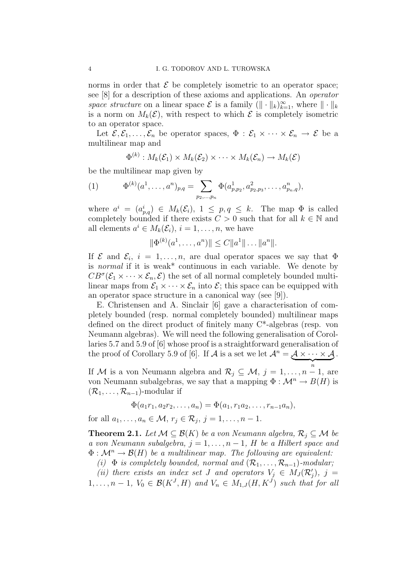norms in order that  $\mathcal E$  be completely isometric to an operator space; see [8] for a description of these axioms and applications. An operator space structure on a linear space  $\mathcal E$  is a family  $(\|\cdot\|_k)_{k=1}^\infty$ , where  $\|\cdot\|_k$ is a norm on  $M_k(\mathcal{E})$ , with respect to which  $\mathcal E$  is completely isometric to an operator space.

Let  $\mathcal{E}, \mathcal{E}_1, \ldots, \mathcal{E}_n$  be operator spaces,  $\Phi : \mathcal{E}_1 \times \cdots \times \mathcal{E}_n \to \mathcal{E}$  be a multilinear map and

$$
\Phi^{(k)}: M_k(\mathcal{E}_1) \times M_k(\mathcal{E}_2) \times \cdots \times M_k(\mathcal{E}_n) \to M_k(\mathcal{E})
$$

be the multilinear map given by

(1) 
$$
\Phi^{(k)}(a^1,\ldots,a^n)_{p,q} = \sum_{p_2,\ldots,p_n} \Phi(a^1_{p,p_2},a^2_{p_2,p_3},\ldots,a^n_{p_n,q}),
$$

where  $a^i = (a_{p,q}^i) \in M_k(\mathcal{E}_i), 1 \leq p, q \leq k$ . The map  $\Phi$  is called completely bounded if there exists  $C > 0$  such that for all  $k \in \mathbb{N}$  and all elements  $a^i \in M_k(\mathcal{E}_i)$ ,  $i = 1, \ldots, n$ , we have

$$
\|\Phi^{(k)}(a^1,\ldots,a^n)\| \le C \|a^1\|\ldots\|a^n\|.
$$

If  $\mathcal E$  and  $\mathcal E_i$ ,  $i = 1, \ldots, n$ , are dual operator spaces we say that  $\Phi$ is *normal* if it is weak\* continuous in each variable. We denote by  $CB^{\sigma}(\mathcal{E}_1 \times \cdots \times \mathcal{E}_n, \mathcal{E})$  the set of all normal completely bounded multilinear maps from  $\mathcal{E}_1 \times \cdots \times \mathcal{E}_n$  into  $\mathcal{E}_2$ ; this space can be equipped with an operator space structure in a canonical way (see [9]).

E. Christensen and A. Sinclair [6] gave a characterisation of completely bounded (resp. normal completely bounded) multilinear maps defined on the direct product of finitely many C\*-algebras (resp. von Neumann algebras). We will need the following generalisation of Corollaries 5.7 and 5.9 of [6] whose proof is a straightforward generalisation of the proof of Corollary 5.9 of [6]. If A is a set we let  $\mathcal{A}^n = \mathcal{A} \times \cdots \times \mathcal{A}$  $\overbrace{n}$ .

If M is a von Neumann algebra and  $\mathcal{R}_j \subseteq \mathcal{M}, j = 1, \ldots, n-1$ , are von Neumann subalgebras, we say that a mapping  $\Phi : \mathcal{M}^n \to B(H)$  is  $(\mathcal{R}_1, \ldots, \mathcal{R}_{n-1})$ -modular if

$$
\Phi(a_1r_1, a_2r_2, \ldots, a_n) = \Phi(a_1, r_1a_2, \ldots, r_{n-1}a_n),
$$

for all  $a_1, \ldots, a_n \in \mathcal{M}, r_j \in \mathcal{R}_j, j = 1, \ldots, n - 1$ .

**Theorem 2.1.** Let  $M \subseteq \mathcal{B}(K)$  be a von Neumann algebra,  $\mathcal{R}_i \subseteq M$  be a von Neumann subalgebra,  $j = 1, \ldots, n-1$ , H be a Hilbert space and  $\Phi : \mathcal{M}^n \to \mathcal{B}(H)$  be a multilinear map. The following are equivalent:

(i)  $\Phi$  is completely bounded, normal and  $(\mathcal{R}_1, \ldots, \mathcal{R}_{n-1})$ -modular;

(ii) there exists an index set J and operators  $V_j \in M_J(\mathcal{R}'_j)$ ,  $j =$  $1, \ldots, n-1, V_0 \in \mathcal{B}(K^J, H)$  and  $V_n \in M_{1,J}(H, K^J)$  such that for all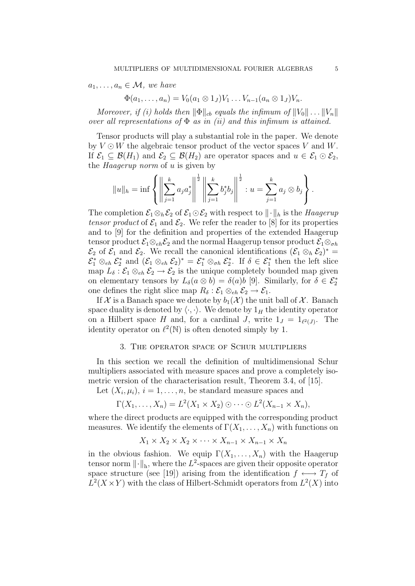$a_1, \ldots, a_n \in \mathcal{M}$ , we have

 $\Phi(a_1, \ldots, a_n) = V_0(a_1 \otimes 1_J) V_1 \ldots V_{n-1}(a_n \otimes 1_J) V_n.$ 

Moreover, if (i) holds then  $\|\Phi\|_{cb}$  equals the infimum of  $||V_0|| \dots ||V_n||$ over all representations of  $\Phi$  as in (ii) and this infimum is attained.

Tensor products will play a substantial role in the paper. We denote by  $V \odot W$  the algebraic tensor product of the vector spaces V and W. If  $\mathcal{E}_1 \subseteq \mathcal{B}(H_1)$  and  $\mathcal{E}_2 \subseteq \mathcal{B}(H_2)$  are operator spaces and  $u \in \mathcal{E}_1 \odot \mathcal{E}_2$ , the Haagerup norm of u is given by

$$
||u||_h = \inf \left\{ \left\| \sum_{j=1}^k a_j a_j^* \right\|^{\frac{1}{2}} \left\| \sum_{j=1}^k b_j^* b_j \right\|^{\frac{1}{2}} : u = \sum_{j=1}^k a_j \otimes b_j \right\}.
$$

The completion  $\mathcal{E}_1 \otimes_h \mathcal{E}_2$  of  $\mathcal{E}_1 \odot \mathcal{E}_2$  with respect to  $\|\cdot\|_h$  is the Haagerup tensor product of  $\mathcal{E}_1$  and  $\mathcal{E}_2$ . We refer the reader to [8] for its properties and to [9] for the definition and properties of the extended Haagerup tensor product  $\mathcal{E}_1 \otimes_{eh} \mathcal{E}_2$  and the normal Haagerup tensor product  $\mathcal{E}_1 \otimes_{eh}$  $\mathcal{E}_2$  of  $\mathcal{E}_1$  and  $\mathcal{E}_2$ . We recall the canonical identifications  $(\mathcal{E}_1 \otimes_h \mathcal{E}_2)^* =$  $\mathcal{E}_1^* \otimes_{eh} \mathcal{E}_2^*$  and  $(\mathcal{E}_1 \otimes_{eh} \mathcal{E}_2)^* = \mathcal{E}_1^* \otimes_{eh} \mathcal{E}_2^*$ . If  $\delta \in \mathcal{E}_1^*$  then the left slice map  $L_{\delta}$ :  $\mathcal{E}_1 \otimes_{eh} \mathcal{E}_2 \to \mathcal{E}_2$  is the unique completely bounded map given on elementary tensors by  $L_{\delta}(a \otimes b) = \delta(a)b$  [9]. Similarly, for  $\delta \in \mathcal{E}_2^*$ one defines the right slice map  $R_{\delta} : \mathcal{E}_1 \otimes_{eh} \mathcal{E}_2 \to \mathcal{E}_1$ .

If X is a Banach space we denote by  $b_1(\mathcal{X})$  the unit ball of X. Banach space duality is denoted by  $\langle \cdot, \cdot \rangle$ . We denote by  $1_H$  the identity operator on a Hilbert space H and, for a cardinal J, write  $1_J = 1_{\ell^2(J)}$ . The identity operator on  $\ell^2(\mathbb{N})$  is often denoted simply by 1.

### 3. The operator space of Schur multipliers

In this section we recall the definition of multidimensional Schur multipliers associated with measure spaces and prove a completely isometric version of the characterisation result, Theorem 3.4, of [15].

Let  $(X_i, \mu_i), i = 1, \ldots, n$ , be standard measure spaces and

$$
\Gamma(X_1,\ldots,X_n)=L^2(X_1\times X_2)\odot\cdots\odot L^2(X_{n-1}\times X_n),
$$

where the direct products are equipped with the corresponding product measures. We identify the elements of  $\Gamma(X_1, \ldots, X_n)$  with functions on

$$
X_1 \times X_2 \times X_2 \times \cdots \times X_{n-1} \times X_{n-1} \times X_n
$$

in the obvious fashion. We equip  $\Gamma(X_1, \ldots, X_n)$  with the Haagerup tensor norm  $\lVert \cdot \rVert_h$ , where the  $L^2$ -spaces are given their opposite operator space structure (see [19]) arising from the identification  $f \leftrightarrow T_f$  of  $L^2(X \times Y)$  with the class of Hilbert-Schmidt operators from  $L^2(X)$  into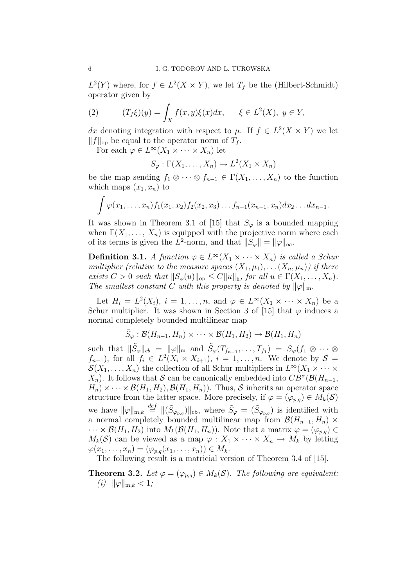$L^2(Y)$  where, for  $f \in L^2(X \times Y)$ , we let  $T_f$  be the (Hilbert-Schmidt) operator given by

(2) 
$$
(T_f \xi)(y) = \int_X f(x, y) \xi(x) dx, \quad \xi \in L^2(X), y \in Y,
$$

dx denoting integration with respect to  $\mu$ . If  $f \in L^2(X \times Y)$  we let  $||f||_{op}$  be equal to the operator norm of  $T_f$ .

For each  $\varphi \in L^{\infty}(X_1 \times \cdots \times X_n)$  let

$$
S_{\varphi} : \Gamma(X_1, \ldots, X_n) \to L^2(X_1 \times X_n)
$$

be the map sending  $f_1 \otimes \cdots \otimes f_{n-1} \in \Gamma(X_1, \ldots, X_n)$  to the function which maps  $(x_1, x_n)$  to

$$
\int \varphi(x_1,\ldots,x_n) f_1(x_1,x_2) f_2(x_2,x_3)\ldots f_{n-1}(x_{n-1},x_n) dx_2\ldots dx_{n-1}.
$$

It was shown in Theorem 3.1 of [15] that  $S_{\varphi}$  is a bounded mapping when  $\Gamma(X_1, \ldots, X_n)$  is equipped with the projective norm where each of its terms is given the L<sup>2</sup>-norm, and that  $||S_{\varphi}|| = ||\varphi||_{\infty}$ .

**Definition 3.1.** A function  $\varphi \in L^{\infty}(X_1 \times \cdots \times X_n)$  is called a Schur multiplier (relative to the measure spaces  $(X_1, \mu_1), \ldots (X_n, \mu_n)$ ) if there exists  $C > 0$  such that  $||S_{\varphi}(u)||_{op} \leq C||u||_{h}$ , for all  $u \in \Gamma(X_1, \ldots, X_n)$ . The smallest constant C with this property is denoted by  $\|\varphi\|_{m}$ .

Let  $H_i = L^2(X_i)$ ,  $i = 1, ..., n$ , and  $\varphi \in L^{\infty}(X_1 \times \cdots \times X_n)$  be a Schur multiplier. It was shown in Section 3 of [15] that  $\varphi$  induces a normal completely bounded multilinear map

$$
\tilde{S}_{\varphi} : \mathcal{B}(H_{n-1}, H_n) \times \cdots \times \mathcal{B}(H_1, H_2) \to \mathcal{B}(H_1, H_n)
$$

such that  $\|\tilde{S}_{\varphi}\|_{cb} = \|\varphi\|_{\mathfrak{m}}$  and  $\tilde{S}_{\varphi}(T_{f_{n-1}}, \ldots, T_{f_1}) = S_{\varphi}(f_1 \otimes \cdots \otimes f_n)$  $f_{n-1}$ ), for all  $f_i \in L^2(X_i \times X_{i+1}), i = 1, \ldots, n$ . We denote by  $S =$  $\mathcal{S}(X_1,\ldots,X_n)$  the collection of all Schur multipliers in  $L^\infty(X_1\times\cdots\times$  $X_n$ ). It follows that S can be canonically embedded into  $CB^{\sigma}(\mathcal{B}(H_{n-1},$  $H_n) \times \cdots \times \mathcal{B}(H_1, H_2), \mathcal{B}(H_1, H_n)$ . Thus, S inherits an operator space structure from the latter space. More precisely, if  $\varphi = (\varphi_{p,q}) \in M_k(\mathcal{S})$ we have  $\|\varphi\|_{m,k} \stackrel{def}{=} \|(\tilde{S}_{\varphi_{p,q}})\|_{\text{cb}}$ , where  $\tilde{S}_{\varphi} = (\tilde{S}_{\varphi_{p,q}})$  is identified with a normal completely bounded multilinear map from  $\mathcal{B}(H_{n-1}, H_n)$  ×  $\cdots \times \mathcal{B}(H_1, H_2)$  into  $M_k(\mathcal{B}(H_1, H_n))$ . Note that a matrix  $\varphi = (\varphi_{p,q}) \in$  $M_k(\mathcal{S})$  can be viewed as a map  $\varphi: X_1 \times \cdots \times X_n \to M_k$  by letting  $\varphi(x_1,\ldots,x_n)=(\varphi_{p,q}(x_1,\ldots,x_n))\in M_k.$ 

The following result is a matricial version of Theorem 3.4 of [15].

**Theorem 3.2.** Let  $\varphi = (\varphi_{p,q}) \in M_k(\mathcal{S})$ . The following are equivalent: (*i*)  $\|\varphi\|_{m,k} < 1;$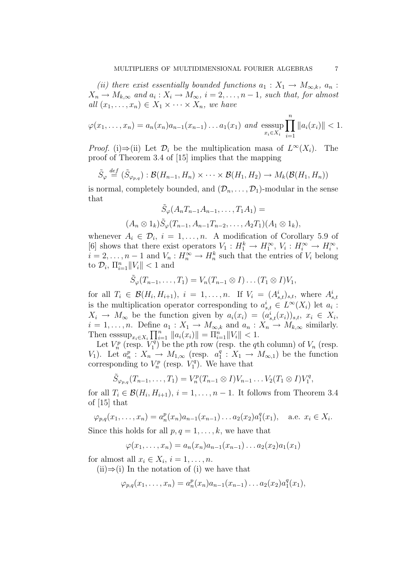(ii) there exist essentially bounded functions  $a_1 : X_1 \to M_{\infty,k}$ ,  $a_n$ :  $X_n \to M_{k,\infty}$  and  $a_i: X_i \to M_\infty$ ,  $i = 2, \ldots, n-1$ , such that, for almost all  $(x_1, \ldots, x_n) \in X_1 \times \cdots \times X_n$ , we have

$$
\varphi(x_1,\ldots,x_n) = a_n(x_n)a_{n-1}(x_{n-1})\ldots a_1(x_1) \text{ and } \underset{x_i \in X_i}{\text{esssup}} \prod_{i=1}^n \|a_i(x_i)\| < 1.
$$

*Proof.* (i)⇒(ii) Let  $\mathcal{D}_i$  be the multiplication masa of  $L^{\infty}(X_i)$ . The proof of Theorem 3.4 of [15] implies that the mapping

$$
\tilde{S}_{\varphi} \stackrel{def}{=} (\tilde{S}_{\varphi_{p,q}}) : \mathcal{B}(H_{n-1}, H_n) \times \cdots \times \mathcal{B}(H_1, H_2) \to M_k(\mathcal{B}(H_1, H_n))
$$

is normal, completely bounded, and  $(\mathcal{D}_n, \ldots, \mathcal{D}_1)$ -modular in the sense that

$$
\tilde{S}_{\varphi}(A_n T_{n-1} A_{n-1}, \dots, T_1 A_1) =
$$
  

$$
(A_n \otimes 1_k) \tilde{S}_{\varphi}(T_{n-1}, A_{n-1} T_{n-2}, \dots, A_2 T_1)(A_1 \otimes 1_k),
$$

whenever  $A_i \in \mathcal{D}_i$ ,  $i = 1, \ldots, n$ . A modification of Corollary 5.9 of [6] shows that there exist operators  $V_1: H_1^k \to H_1^{\infty}, V_i: H_i^{\infty} \to H_i^{\infty}$ ,  $i = 2, \ldots, n-1$  and  $V_n : H_n^{\infty} \to H_n^k$  such that the entries of  $V_i$  belong to  $\mathcal{D}_i$ ,  $\Pi_{i=1}^n ||V_i|| < 1$  and

$$
\tilde{S}_{\varphi}(T_{n-1},\ldots,T_1)=V_n(T_{n-1}\otimes I)\ldots(T_1\otimes I)V_1,
$$

for all  $T_i \in \mathcal{B}(H_i, H_{i+1}), i = 1, ..., n$ . If  $V_i = (A_{s,t}^i)_{s,t}$ , where  $A_{s,t}^i$ is the multiplication operator corresponding to  $a_{s,t}^i \in L^\infty(X_i)$  let  $a_i$ :  $X_i \rightarrow M_{\infty}$  be the function given by  $a_i(x_i) = (a_{s,t}^i(x_i))_{s,t}, x_i \in X_i$  $i = 1, \ldots, n$ . Define  $a_1 : X_1 \to M_{\infty,k}$  and  $a_n : X_n \to M_{k,\infty}$  similarly. Then  $\operatorname{esssup}_{x_i \in X_i} \prod_{i=1}^n \|a_i(x_i)\| = \prod_{i=1}^n \|V_i\| < 1.$ 

Let  $V_n^p$  (resp.  $V_1^q$ )  $\binom{r}{1}$  be the pth row (resp. the qth column) of  $V_n$  (resp.  $V_1$ ). Let  $a_n^p : X_n \to M_{1,\infty}$  (resp.  $a_1^q$ )  $y_1^q: X_1 \to M_{\infty,1}$  be the function corresponding to  $V_n^p$  (resp.  $V_1^q$ )  $_1^{\prime q}$ ). We have that

$$
\tilde{S}_{\varphi_{p,q}}(T_{n-1},\ldots,T_1) = V_n^p(T_{n-1}\otimes I)V_{n-1}\ldots V_2(T_1\otimes I)V_1^q,
$$

for all  $T_i \in \mathcal{B}(H_i, H_{i+1}), i = 1, \ldots, n-1$ . It follows from Theorem 3.4 of [15] that

$$
\varphi_{p,q}(x_1,\ldots,x_n) = a_n^p(x_n)a_{n-1}(x_{n-1})\ldots a_2(x_2)a_1^q(x_1),
$$
 a.e.  $x_i \in X_i$ .

Since this holds for all  $p, q = 1, \ldots, k$ , we have that

$$
\varphi(x_1,\ldots,x_n) = a_n(x_n)a_{n-1}(x_{n-1})\ldots a_2(x_2)a_1(x_1)
$$

for almost all  $x_i \in X_i$ ,  $i = 1, \ldots, n$ .

 $(ii) \Rightarrow (i)$  In the notation of (i) we have that

$$
\varphi_{p,q}(x_1,\ldots,x_n)=a_n^p(x_n)a_{n-1}(x_{n-1})\ldots a_2(x_2)a_1^q(x_1),
$$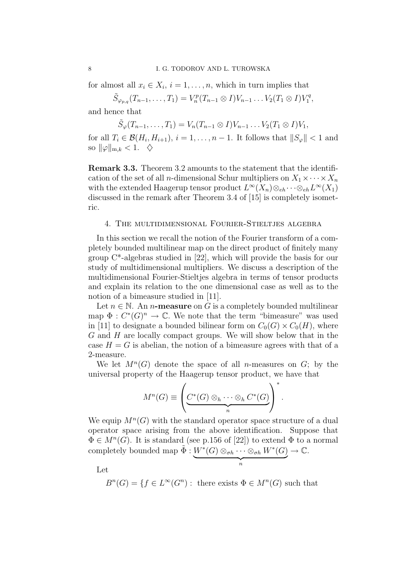for almost all  $x_i \in X_i$ ,  $i = 1, \ldots, n$ , which in turn implies that

 $\tilde{S}_{\varphi_{p,q}}(T_{n-1},\ldots,T_1)=V_n^p(T_{n-1}\otimes I)V_{n-1}\ldots V_2(T_1\otimes I)V_1^q$  $I^q,$ 

and hence that

 $\tilde{S}_{\varphi}(T_{n-1},...,T_1) = V_n(T_{n-1} \otimes I)V_{n-1}...V_2(T_1 \otimes I)V_1,$ 

for all  $T_i \in \mathcal{B}(H_i, H_{i+1}), i = 1, \ldots, n-1$ . It follows that  $||S_{\varphi}|| < 1$  and so  $\|\varphi\|_{\mathrm{m},k} < 1.$   $\diamondsuit$ 

Remark 3.3. Theorem 3.2 amounts to the statement that the identification of the set of all *n*-dimensional Schur multipliers on  $X_1 \times \cdots \times X_n$ with the extended Haagerup tensor product  $L^{\infty}(X_n) \otimes_{eh} \cdots \otimes_{eh} L^{\infty}(X_1)$ discussed in the remark after Theorem 3.4 of [15] is completely isometric.

### 4. The multidimensional Fourier-Stieltjes algebra

In this section we recall the notion of the Fourier transform of a completely bounded multilinear map on the direct product of finitely many group C\*-algebras studied in [22], which will provide the basis for our study of multidimensional multipliers. We discuss a description of the multidimensional Fourier-Stieltjes algebra in terms of tensor products and explain its relation to the one dimensional case as well as to the notion of a bimeasure studied in [11].

Let  $n \in \mathbb{N}$ . An *n*-measure on G is a completely bounded multilinear map  $\Phi: C^*(G)^n \to \mathbb{C}$ . We note that the term "bimeasure" was used in [11] to designate a bounded bilinear form on  $C_0(G) \times C_0(H)$ , where G and H are locally compact groups. We will show below that in the case  $H = G$  is abelian, the notion of a bimeasure agrees with that of a 2-measure.

We let  $M^{n}(G)$  denote the space of all *n*-measures on  $G$ ; by the universal property of the Haagerup tensor product, we have that

$$
M^{n}(G) \equiv \left( \underbrace{C^*(G) \otimes_h \cdots \otimes_h C^*(G)}_{n} \right)^*.
$$

We equip  $M^n(G)$  with the standard operator space structure of a dual operator space arising from the above identification. Suppose that  $\Phi \in M^{n}(G)$ . It is standard (see p.156 of [22]) to extend  $\Phi$  to a normal completely bounded map  $\tilde{\Phi}: W^*(G) \otimes_{\sigma h} \cdots \otimes_{\sigma h} W^*(G)$  $\rightarrow \mathbb{C}.$ 

 $\overbrace{n}$ 

Let

 $B^{n}(G) = \{f \in L^{\infty}(G^{n}) : \text{ there exists } \Phi \in M^{n}(G) \text{ such that }$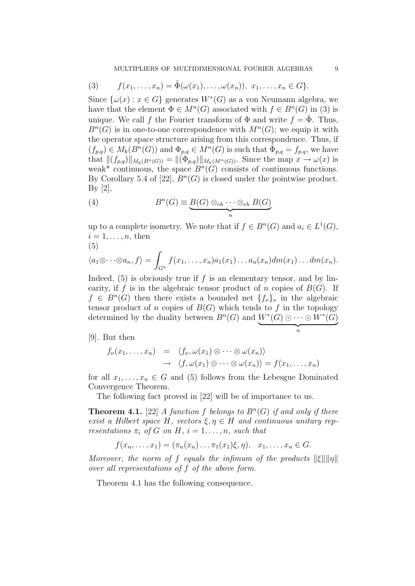(3) 
$$
f(x_1,\ldots,x_n)=\tilde{\Phi}(\omega(x_1),\ldots,\omega(x_n)), x_1,\ldots,x_n\in G\}.
$$

Since  $\{\omega(x) : x \in G\}$  generates  $W^*(G)$  as a von Neumann algebra, we have that the element  $\Phi \in M^n(G)$  associated with  $f \in B^n(G)$  in (3) is unique. We call f the Fourier transform of  $\Phi$  and write  $f = \tilde{\Phi}$ . Thus,  $B<sup>n</sup>(G)$  is in one-to-one correspondence with  $M<sup>n</sup>(G)$ ; we equip it with the operator space structure arising from this correspondence. Thus, if  $(f_{p,q}) \in M_k(B^n(G))$  and  $\Phi_{p,q} \in M^n(G)$  is such that  $\hat{\Phi}_{p,q} = f_{p,q}$ , we have that  $\|(f_{p,q})\|_{M_k(B^n(G))} = \|\langle \hat{\Phi}_{p,q} \rangle\|_{M_k(M^n(G))}$ . Since the map  $x \to \omega(x)$  is weak\* continuous, the space  $B<sup>n</sup>(G)$  consists of continuous functions. By Corollary 5.4 of [22],  $B<sup>n</sup>(G)$  is closed under the pointwise product. By [2],

(4) 
$$
B^{n}(G) \equiv \underbrace{B(G) \otimes_{eh} \cdots \otimes_{eh} B(G)}_{n}
$$

up to a complete isometry. We note that if  $f \in B<sup>n</sup>(G)$  and  $a_i \in L<sup>1</sup>(G)$ ,  $i = 1, \ldots, n$ , then (5)

$$
\begin{array}{c}\n\circ \\
\circ \\
\circ \\
\circ\n\end{array}
$$

$$
\langle a_1 \otimes \cdots \otimes a_n, f \rangle = \int_{G^n} f(x_1, \ldots, x_n) a_1(x_1) \ldots a_n(x_n) dm(x_1) \ldots dm(x_n).
$$

Indeed,  $(5)$  is obviously true if f is an elementary tensor, and by linearity, if f is in the algebraic tensor product of n copies of  $B(G)$ . If  $f \in B<sup>n</sup>(G)$  then there exists a bounded net  ${f_{\nu}}_{\nu}$  in the algebraic tensor product of n copies of  $B(G)$  which tends to f in the topology determined by the duality between  $B<sup>n</sup>(G)$  and  $W^*(G) \odot \cdots \odot W^*(G)$ 

[9]. But then

$$
f_{\nu}(x_1,\ldots,x_n) = \langle f_{\nu}, \omega(x_1) \otimes \cdots \otimes \omega(x_n) \rangle
$$
  

$$
\rightarrow \langle f, \omega(x_1) \otimes \cdots \otimes \omega(x_n) \rangle = f(x_1,\ldots,x_n)
$$

for all  $x_1, \ldots, x_n \in G$  and (5) follows from the Lebesgue Dominated Convergence Theorem.

The following fact proved in [22] will be of importance to us.

**Theorem 4.1.** [22] A function f belongs to  $B<sup>n</sup>(G)$  if and only if there exist a Hilbert space H, vectors  $\xi, \eta \in H$  and continuous unitary representations  $\pi_i$  of G on H,  $i = 1, \ldots, n$ , such that

$$
f(x_n, ..., x_1) = (\pi_n(x_n) ... \pi_1(x_1)\xi, \eta), x_1, ..., x_n \in G.
$$

Moreover, the norm of f equals the infimum of the products  $\|\xi\| \|\eta\|$ over all representations of f of the above form.

Theorem 4.1 has the following consequence.

 $\overbrace{n}$ n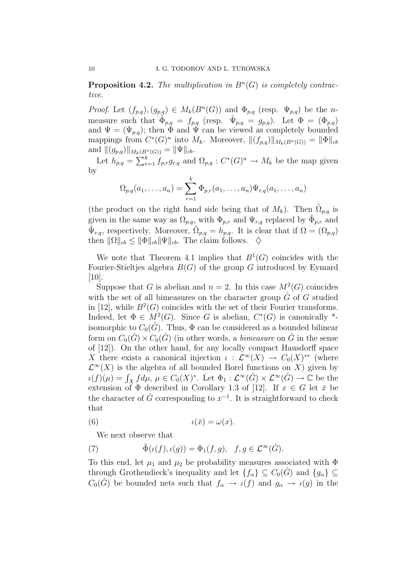## **Proposition 4.2.** The multiplication in  $B<sup>n</sup>(G)$  is completely contractive.

*Proof.* Let  $(f_{p,q}), (g_{p,q}) \in M_k(B^n(G))$  and  $\Phi_{p,q}$  (resp.  $\Psi_{p,q}$ ) be the *n*measure such that  $\hat{\Phi}_{p,q} = f_{p,q}$  (resp.  $\hat{\Psi}_{p,q} = g_{p,q}$ ). Let  $\Phi = (\Phi_{p,q})$ and  $\Psi = (\Psi_{p,q})$ ; then  $\Phi$  and  $\Psi$  can be viewed as completely bounded mappings from  $C^*(G)^n$  into  $M_k$ . Moreover,  $||(f_{p,q})||_{M_k(B^n(G))} = ||\Phi||_{cb}$ and  $||(g_{p,q})||_{M_k(B^n(G))} = ||\Psi||_{cb}.$ 

Let  $h_{p,q} = \sum_{r=1}^{k} f_{p,r} g_{r,q}$  and  $\Omega_{p,q}: C^{*}(G)^{n} \to M_{k}$  be the map given by

$$
\Omega_{p,q}(a_1,\ldots,a_n)=\sum_{r=1}^k \Phi_{p,r}(a_1,\ldots,a_n)\Psi_{r,q}(a_1,\ldots,a_n)
$$

(the product on the right hand side being that of  $M_k$ ). Then  $\tilde{\Omega}_{p,q}$  is given in the same way as  $\Omega_{p,q}$ , with  $\Phi_{p,r}$  and  $\Psi_{r,q}$  replaced by  $\tilde{\Phi}_{p,r}$  and  $\tilde{\Psi}_{r,q}$ , respectively. Moreover,  $\hat{\Omega}_{p,q} = h_{p,q}$ . It is clear that if  $\Omega = (\Omega_{p,q})$ then  $\|\Omega\|_{cb} \le \|\Phi\|_{cb} \|\Psi\|_{cb}$ . The claim follows.  $\diamondsuit$ 

We note that Theorem 4.1 implies that  $B^1(G)$  coincides with the Fourier-Stieltjes algebra  $B(G)$  of the group G introduced by Eymard [10].

Suppose that G is abelian and  $n = 2$ . In this case  $M^2(G)$  coincides with the set of all bimeasures on the character group  $\tilde{G}$  of G studied in [12], while  $B^2(G)$  coincides with the set of their Fourier transforms. Indeed, let  $\Phi \in M^2(G)$ . Since G is abelian,  $C^*(G)$  is canonically \*isomorphic to  $C_0(\hat{G})$ . Thus,  $\Phi$  can be considered as a bounded bilinear form on  $C_0(\hat{G}) \times C_0(\hat{G})$  (in other words, a *bimeasure* on  $\hat{G}$  in the sense of [12]). On the other hand, for any locally compact Hausdorff space X there exists a canonical injection  $\iota : \mathcal{L}^{\infty}(X) \to C_0(X)^{**}$  (where  $\mathcal{L}^{\infty}(X)$  is the algebra of all bounded Borel functions on X) given by  $\iota(f)(\mu) = \int_X f d\mu, \ \mu \in C_0(X)^*$ . Let  $\Phi_1 : \mathcal{L}^{\infty}(\hat{G}) \times \mathcal{L}^{\infty}(\hat{G}) \to \mathbb{C}$  be the extension of  $\Phi$  described in Corollary 1.3 of [12]. If  $x \in G$  let  $\check{x}$  be the character of  $\hat{G}$  corresponding to  $x^{-1}$ . It is straightforward to check that

(6) 
$$
t(\check{x}) = \omega(x).
$$

We next observe that

(7) 
$$
\tilde{\Phi}(\iota(f), \iota(g)) = \Phi_1(f, g), \quad f, g \in \mathcal{L}^{\infty}(\hat{G}).
$$

To this end, let  $\mu_1$  and  $\mu_2$  be probability measures associated with  $\Phi$ through Grothendieck's inequality and let  $\{f_\alpha\} \subseteq C_0(\hat{G})$  and  $\{g_\alpha\} \subseteq$  $C_0(\hat{G})$  be bounded nets such that  $f_\alpha \to \iota(f)$  and  $g_\alpha \to \iota(g)$  in the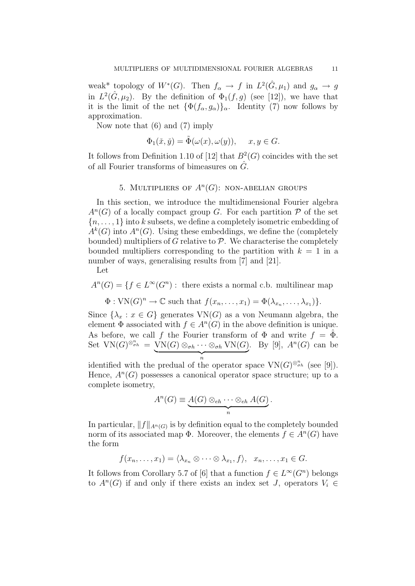weak\* topology of  $W^*(G)$ . Then  $f_\alpha \to f$  in  $L^2(\hat{G}, \mu_1)$  and  $g_\alpha \to g$ in  $L^2(\hat{G}, \mu_2)$ . By the definition of  $\Phi_1(f, g)$  (see [12]), we have that it is the limit of the net  $\{\Phi(f_{\alpha}, g_{\alpha})\}_{\alpha}$ . Identity (7) now follows by approximation.

Now note that (6) and (7) imply

$$
\Phi_1(\check{x}, \check{y}) = \tilde{\Phi}(\omega(x), \omega(y)), \quad x, y \in G.
$$

It follows from Definition 1.10 of [12] that  $B^2(G)$  coincides with the set of all Fourier transforms of bimeasures on  $\hat{G}$ .

# 5. MULTIPLIERS OF  $A<sup>n</sup>(G)$ : NON-ABELIAN GROUPS

In this section, we introduce the multidimensional Fourier algebra  $A<sup>n</sup>(G)$  of a locally compact group G. For each partition  $P$  of the set  ${n, \ldots, 1}$  into k subsets, we define a completely isometric embedding of  $A^k(G)$  into  $A^n(G)$ . Using these embeddings, we define the (completely bounded) multipliers of G relative to  $P$ . We characterise the completely bounded multipliers corresponding to the partition with  $k = 1$  in a number of ways, generalising results from [7] and [21].

Let

 $A^{n}(G) = \{f \in L^{\infty}(G^{n}) : \text{ there exists a normal c.b. multilinear map }\}$ 

$$
\Phi: \text{VN}(G)^n \to \mathbb{C} \text{ such that } f(x_n, \ldots, x_1) = \Phi(\lambda_{x_n}, \ldots, \lambda_{x_1})\}.
$$

Since  $\{\lambda_x : x \in G\}$  generates  $VN(G)$  as a von Neumann algebra, the element  $\Phi$  associated with  $f \in A^n(G)$  in the above definition is unique. As before, we call f the Fourier transform of  $\Phi$  and write  $f = \tilde{\Phi}$ . Set  $VN(G)^{\otimes_{\sigma h}^n} = VN(G) \otimes_{\sigma h} \cdots \otimes_{\sigma h} VN(G)$  $\overbrace{n}$ n . By [9],  $A<sup>n</sup>(G)$  can be

identified with the predual of the operator space  $VN(G)^{\otimes_{\sigma h}^n}$  (see [9]). Hence,  $A<sup>n</sup>(G)$  possesses a canonical operator space structure; up to a complete isometry,

$$
A^{n}(G) \equiv \underbrace{A(G) \otimes_{eh} \cdots \otimes_{eh} A(G)}_{n}.
$$

In particular,  $||f||_{A^n(G)}$  is by definition equal to the completely bounded norm of its associated map  $\Phi$ . Moreover, the elements  $f \in A^n(G)$  have the form

$$
f(x_n,\ldots,x_1)=\langle \lambda_{x_n}\otimes\cdots\otimes\lambda_{x_1},f\rangle,\ \ x_n,\ldots,x_1\in G.
$$

It follows from Corollary 5.7 of [6] that a function  $f \in L^{\infty}(G^n)$  belongs to  $A<sup>n</sup>(G)$  if and only if there exists an index set J, operators  $V_i \in$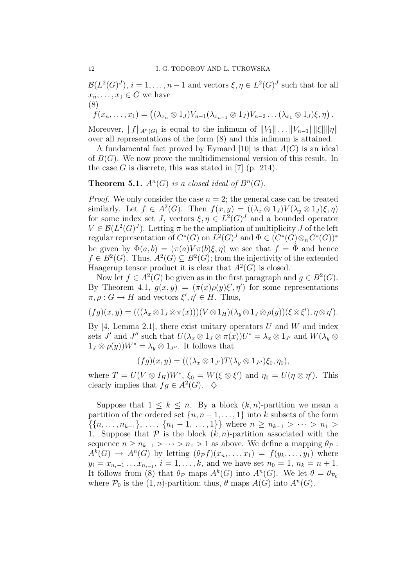$\mathcal{B}(L^2(G)^J), i = 1, \ldots, n-1$  and vectors  $\xi, \eta \in L^2(G)^J$  such that for all  $x_n, \ldots, x_1 \in G$  we have (8)

$$
f(x_n,\ldots,x_1)=((\lambda_{x_n}\otimes 1_J)V_{n-1}(\lambda_{x_{n-1}}\otimes 1_J)V_{n-2}\ldots(\lambda_{x_1}\otimes 1_J)\xi,\eta).
$$

Moreover,  $||f||_{A^n(G)}$  is equal to the infimum of  $||V_1|| \dots ||V_{n-1}|| ||\xi|| ||\eta||$ over all representations of the form (8) and this infimum is attained.

A fundamental fact proved by Eymard [10] is that  $A(G)$  is an ideal of  $B(G)$ . We now prove the multidimensional version of this result. In the case G is discrete, this was stated in [7] (p. 214).

**Theorem 5.1.**  $A^n(G)$  is a closed ideal of  $B^n(G)$ .

*Proof.* We only consider the case  $n = 2$ ; the general case can be treated similarly. Let  $f \in A^2(G)$ . Then  $f(x, y) = ((\lambda_x \otimes 1_J)V(\lambda_y \otimes 1_J)\xi, \eta)$ for some index set J, vectors  $\xi, \eta \in L^2(G)^J$  and a bounded operator  $V \in \mathcal{B}(L^2(G)^J)$ . Letting  $\pi$  be the ampliation of multiplicity J of the left regular representation of  $C^*(G)$  on  $L^2(G)^J$  and  $\Phi \in (C^*(G) \otimes_h C^*(G))^*$ be given by  $\Phi(a, b) = (\pi(a)V\pi(b)\xi, \eta)$  we see that  $f = \hat{\Phi}$  and hence  $f \in B^2(G)$ . Thus,  $A^2(G) \subseteq B^2(G)$ ; from the injectivity of the extended Haagerup tensor product it is clear that  $A^2(G)$  is closed.

Now let  $f \in A^2(G)$  be given as in the first paragraph and  $g \in B^2(G)$ . By Theorem 4.1,  $g(x, y) = (\pi(x)\rho(y)\xi', \eta')$  for some representations  $\pi, \rho: G \to H$  and vectors  $\xi', \eta' \in H$ . Thus,

$$
(fg)(x,y)=(((\lambda_x\otimes 1_J\otimes \pi(x)))(V\otimes 1_H)(\lambda_y\otimes 1_J\otimes \rho(y))(\xi\otimes \xi'),\eta\otimes \eta').
$$

By [4, Lemma 2.1], there exist unitary operators U and W and index sets J' and J" such that  $U(\lambda_x \otimes 1_y \otimes \pi(x))U^* = \lambda_x \otimes 1_{J'}$  and  $W(\lambda_y \otimes$  $1_J \otimes \rho(y)W^* = \lambda_y \otimes 1_{J''}$ . It follows that

$$
(fg)(x,y) = (((\lambda_x \otimes 1_{J'})T(\lambda_y \otimes 1_{J''})\xi_0, \eta_0),
$$

where  $T = U(V \otimes I_H)W^*$ ,  $\xi_0 = W(\xi \otimes \xi')$  and  $\eta_0 = U(\eta \otimes \eta')$ . This clearly implies that  $fg \in A^2(G)$ .  $\diamondsuit$ 

Suppose that  $1 \leq k \leq n$ . By a block  $(k, n)$ -partition we mean a partition of the ordered set  $\{n, n-1, \ldots, 1\}$  into k subsets of the form  $\{\{n, \ldots, n_{k-1}\}, \ldots, \{n_1-1, \ldots, 1\}\}\$  where  $n \geq n_{k-1} > \cdots > n_1 >$ 1. Suppose that  $P$  is the block  $(k, n)$ -partition associated with the sequence  $n \geq n_{k-1} > \cdots > n_1 > 1$  as above. We define a mapping  $\theta_{\mathcal{P}}$ :  $A^k(G) \to A^n(G)$  by letting  $(\theta_{\mathcal{P}}f)(x_n,\ldots,x_1) = f(y_k,\ldots,y_1)$  where  $y_i = x_{n_i-1} \dots x_{n_{i-1}}, i = 1, \dots, k$ , and we have set  $n_0 = 1, n_k = n + 1$ . It follows from (8) that  $\theta_{\mathcal{P}}$  maps  $A^k(G)$  into  $A^n(G)$ . We let  $\theta = \theta_{\mathcal{P}_0}$ where  $\mathcal{P}_0$  is the  $(1, n)$ -partition; thus,  $\theta$  maps  $A(G)$  into  $A^n(G)$ .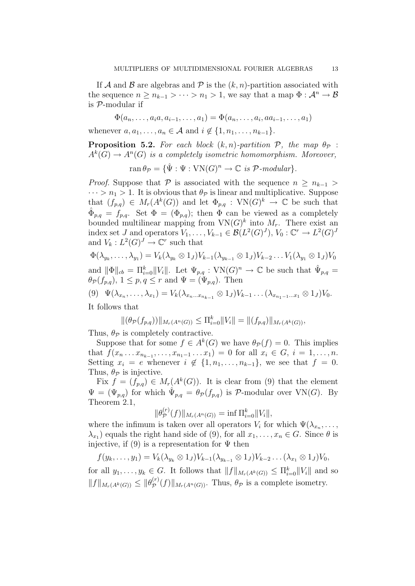If A and B are algebras and P is the  $(k, n)$ -partition associated with the sequence  $n \geq n_{k-1} > \cdots > n_1 > 1$ , we say that a map  $\Phi : \mathcal{A}^n \to \mathcal{B}$ is P-modular if

$$
\Phi(a_n, \ldots, a_i a, a_{i-1}, \ldots, a_1) = \Phi(a_n, \ldots, a_i, a a_{i-1}, \ldots, a_1)
$$

whenever  $a, a_1, \ldots, a_n \in A$  and  $i \notin \{1, n_1, \ldots, n_{k-1}\}.$ 

**Proposition 5.2.** For each block  $(k, n)$ -partition  $P$ , the map  $\theta_P$ :  $A^k(G) \to A^n(G)$  is a completely isometric homomorphism. Moreover,

$$
\operatorname{ran} \theta_{\mathcal{P}} = \{ \hat{\Psi} : \Psi : \operatorname{VN}(G)^n \to \mathbb{C} \text{ is } \mathcal{P}\text{-modular} \}.
$$

*Proof.* Suppose that P is associated with the sequence  $n \geq n_{k-1} >$  $\cdots > n_1 > 1$ . It is obvious that  $\theta_{\mathcal{P}}$  is linear and multiplicative. Suppose that  $(f_{p,q}) \in M_r(A^k(G))$  and let  $\Phi_{p,q}: VN(G)^k \to \mathbb{C}$  be such that  $\hat{\Phi}_{p,q} = f_{p,q}.$  Set  $\Phi = (\Phi_{p,q});$  then  $\Phi$  can be viewed as a completely bounded multilinear mapping from  $VN(G)^k$  into  $M_r$ . There exist an index set J and operators  $V_1, \ldots, V_{k-1} \in \mathcal{B}(L^2(G)^J), V_0: \mathbb{C}^r \to L^2(G)^J$ and  $V_k: L^2(G)^J \to \mathbb{C}^r$  such that

$$
\Phi(\lambda_{y_k},\ldots,\lambda_{y_1})=V_k(\lambda_{y_k}\otimes 1_J)V_{k-1}(\lambda_{y_{k-1}}\otimes 1_J)V_{k-2}\ldots V_1(\lambda_{y_1}\otimes 1_J)V_0
$$

and  $\|\Phi\|_{cb} = \prod_{i=0}^k ||V_i||$ . Let  $\Psi_{p,q} : VN(G)^n \to \mathbb{C}$  be such that  $\hat{\Psi}_{p,q} =$  $\theta_{\mathcal{P}}(f_{p,q}), 1 \leq p, q \leq r \text{ and } \Psi = (\Psi_{p,q}).$  Then

(9)  $\Psi(\lambda_{x_n}, \ldots, \lambda_{x_1}) = V_k(\lambda_{x_n \ldots x_{n_{k-1}}} \otimes 1_J) V_{k-1} \ldots (\lambda_{x_{n_1-1} \ldots x_1} \otimes 1_J) V_0.$ 

It follows that

$$
\|(\theta_{\mathcal{P}}(f_{p,q}))\|_{M_r(A^n(G))} \le \Pi_{i=0}^k \|V_i\| = \|(f_{p,q})\|_{M_r(A^k(G))},
$$

Thus,  $\theta_{\mathcal{P}}$  is completely contractive.

Suppose that for some  $f \in A^k(G)$  we have  $\theta_{\mathcal{P}}(f) = 0$ . This implies that  $f(x_n \ldots x_{n_{k-1}}, \ldots, x_{n_1-1} \ldots x_1) = 0$  for all  $x_i \in G$ ,  $i = 1, \ldots, n$ . Setting  $x_i = e$  whenever  $i \notin \{1, n_1, \ldots, n_{k-1}\},$  we see that  $f = 0$ . Thus,  $\theta_{\mathcal{P}}$  is injective.

Fix  $f = (f_{p,q}) \in M_r(A^k(G))$ . It is clear from (9) that the element  $\Psi = (\Psi_{p,q})$  for which  $\hat{\Psi}_{p,q} = \theta_{\mathcal{P}}(f_{p,q})$  is  $\mathcal{P}\text{-modular over VN}(G)$ . By Theorem 2.1,  $\langle \cdot, \cdot \rangle$ 

$$
\|\theta_{\mathcal{P}}^{(r)}(f)\|_{M_r(A^n(G))} = \inf \Pi_{i=0}^k \|V_i\|,
$$

where the infimum is taken over all operators  $V_i$  for which  $\Psi(\lambda_{x_n}, \ldots,$  $\lambda_{x_1}$ ) equals the right hand side of (9), for all  $x_1, \ldots, x_n \in G$ . Since  $\theta$  is injective, if  $(9)$  is a representation for  $\Psi$  then

$$
f(y_k,\ldots,y_1) = V_k(\lambda_{y_k} \otimes 1_J)V_{k-1}(\lambda_{y_{k-1}} \otimes 1_J)V_{k-2}\ldots(\lambda_{x_1} \otimes 1_J)V_0,
$$

for all  $y_1, \ldots, y_k \in G$ . It follows that  $||f||_{M_r(A^k(G))} \leq \prod_{i=0}^k ||V_i||$  and so  $||f||_{M_r(A^k(G))} \leq ||\theta_{\mathcal{P}}^{(r)}||$  $\mathcal{P}^{(r)}(f)$   $||_{M_r(A^n(G))}$ . Thus,  $\theta_{\mathcal{P}}$  is a complete isometry.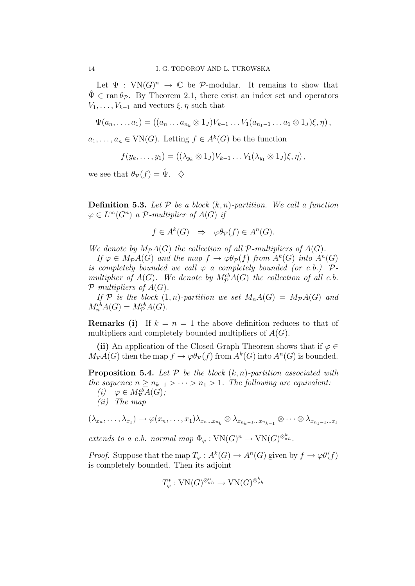Let  $\Psi : VN(G)^n \to \mathbb{C}$  be P-modular. It remains to show that  $\hat{\Psi} \in \operatorname{ran} \theta_{\mathcal{P}}$ . By Theorem 2.1, there exist an index set and operators  $V_1, \ldots, V_{k-1}$  and vectors  $\xi, \eta$  such that

$$
\Psi(a_n, \ldots, a_1) = ((a_n \ldots a_{n_k} \otimes 1_J)V_{k-1} \ldots V_1(a_{n_1-1} \ldots a_1 \otimes 1_J)\xi, \eta),
$$

 $a_1, \ldots, a_n \in \text{VN}(G)$ . Letting  $f \in A^k(G)$  be the function

$$
f(y_k,\ldots,y_1)=((\lambda_{y_k}\otimes 1_J)V_{k-1}\ldots V_1(\lambda_{y_1}\otimes 1_J)\xi,\eta),
$$

we see that  $\theta_{\mathcal{P}}(f) = \hat{\Psi}$ .  $\diamondsuit$ 

**Definition 5.3.** Let  $P$  be a block  $(k, n)$ -partition. We call a function  $\varphi \in L^{\infty}(G^n)$  a P-multiplier of  $A(G)$  if

$$
f \in A^k(G) \Rightarrow \varphi \theta_{\mathcal{P}}(f) \in A^n(G).
$$

We denote by  $M_{\mathcal{P}}A(G)$  the collection of all  $\mathcal{P}\text{-}multipliers$  of  $A(G)$ .

If  $\varphi \in M_{\mathcal{P}}A(G)$  and the map  $f \to \varphi \theta_{\mathcal{P}}(f)$  from  $A^k(G)$  into  $A^n(G)$ is completely bounded we call  $\varphi$  a completely bounded (or c.b.)  $\mathcal{P}$ multiplier of  $A(G)$ . We denote by  $M_{\mathcal{P}}^{cb}A(G)$  the collection of all c.b.  $\mathcal{P}\text{-}multipliers of A(G).$ 

If  $\mathcal P$  is the block  $(1,n)$ -partition we set  $M_nA(G) = M_{\mathcal P}A(G)$  and  $M_n^{cb}A(G) = M_{\mathcal{P}}^{cb}A(G).$ 

**Remarks (i)** If  $k = n = 1$  the above definition reduces to that of multipliers and completely bounded multipliers of  $A(G)$ .

(ii) An application of the Closed Graph Theorem shows that if  $\varphi \in$  $M_{\mathcal{P}}A(G)$  then the map  $f \to \varphi \theta_{\mathcal{P}}(f)$  from  $A^k(G)$  into  $A^n(G)$  is bounded.

**Proposition 5.4.** Let  $P$  be the block  $(k, n)$ -partition associated with the sequence  $n \geq n_{k-1} > \cdots > n_1 > 1$ . The following are equivalent:

(i)  $\varphi \in M_{\mathcal{P}}^{cb}A(G);$ 

(ii) The map

 $(\lambda_{x_n},\ldots,\lambda_{x_1})\to \varphi(x_n,\ldots,x_1)\lambda_{x_n\ldots x_{n_k}}\otimes \lambda_{x_{n_k-1}\ldots x_{n_{k-1}}}\otimes \cdots \otimes \lambda_{x_{n_1-1}\ldots x_1}$ 

extends to a c.b. normal map  $\Phi_{\varphi}: VN(G)^n \to VN(G)^{\otimes_{\sigma h}^k}$ .

*Proof.* Suppose that the map  $T_{\varphi}: A^k(G) \to A^n(G)$  given by  $f \to \varphi \theta(f)$ is completely bounded. Then its adjoint

$$
T^*_{\varphi}: \text{VN}(G)^{\otimes_{\sigma h}^n} \to \text{VN}(G)^{\otimes_{\sigma h}^k}
$$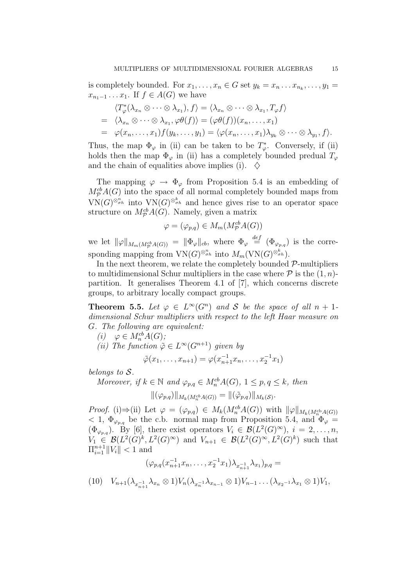is completely bounded. For  $x_1, \ldots, x_n \in G$  set  $y_k = x_n \ldots x_{n_k}, \ldots, y_1 =$  $x_{n_1-1} \ldots x_1$ . If  $f \in A(G)$  we have

$$
\langle T_{\varphi}^*(\lambda_{x_n} \otimes \cdots \otimes \lambda_{x_1}), f \rangle = \langle \lambda_{x_n} \otimes \cdots \otimes \lambda_{x_1}, T_{\varphi} f \rangle
$$
  
=  $\langle \lambda_{x_n} \otimes \cdots \otimes \lambda_{x_1}, \varphi \theta(f) \rangle = (\varphi \theta(f))(x_n, \ldots, x_1)$   
=  $\varphi(x_n, \ldots, x_1) f(y_k, \ldots, y_1) = \langle \varphi(x_n, \ldots, x_1) \lambda_{y_k} \otimes \cdots \otimes \lambda_{y_1}, f \rangle.$ 

Thus, the map  $\Phi_{\varphi}$  in (ii) can be taken to be  $T^*_{\varphi}$ . Conversely, if (ii) holds then the map  $\Phi_{\varphi}$  in (ii) has a completely bounded predual  $T_{\varphi}$ and the chain of equalities above implies (i).  $\diamondsuit$ 

The mapping  $\varphi \to \Phi_{\varphi}$  from Proposition 5.4 is an embedding of  $M_{\mathcal{P}}^{cb}A(G)$  into the space of all normal completely bounded maps from  $VN(G)^{\otimes_{\sigma h}^n}$  into  $VN(G)^{\otimes_{\sigma h}^k}$  and hence gives rise to an operator space structure on  $M^{cb}_{\mathcal{P}}A(G)$ . Namely, given a matrix

$$
\varphi = (\varphi_{p,q}) \in M_m(M_{\mathcal{P}}^{cb}A(G))
$$

we let  $\|\varphi\|_{M_m(M^{cb}_{\mathcal{P}}A(G))} = \|\Phi_{\varphi}\|_{cb}$ , where  $\Phi_{\varphi} \stackrel{def}{=} (\Phi_{\varphi_{p,q}})$  is the corresponding mapping from  $VN(G)^{\otimes_{\sigma h}^n}$  into  $M_m(VN(G)^{\otimes_{\sigma h}^k})$ .

In the next theorem, we relate the completely bounded  $P$ -multipliers to multidimensional Schur multipliers in the case where  $P$  is the  $(1, n)$ partition. It generalises Theorem 4.1 of [7], which concerns discrete groups, to arbitrary locally compact groups.

**Theorem 5.5.** Let  $\varphi \in L^{\infty}(G^n)$  and S be the space of all  $n + 1$ dimensional Schur multipliers with respect to the left Haar measure on G. The following are equivalent:

- (i)  $\varphi \in M_n^{cb}A(G);$
- (ii) The function  $\tilde{\varphi} \in L^{\infty}(G^{n+1})$  given by

$$
\tilde{\varphi}(x_1, \ldots, x_{n+1}) = \varphi(x_{n+1}^{-1} x_n, \ldots, x_2^{-1} x_1)
$$

belongs to S.

Moreover, if  $k \in \mathbb{N}$  and  $\varphi_{p,q} \in M_n^{cb}A(G)$ ,  $1 \leq p, q \leq k$ , then

$$
\|(\varphi_{p,q})\|_{M_k(M_n^{cb}A(G))} = \|(\tilde{\varphi}_{p,q})\|_{M_k(\mathcal{S})}.
$$

*Proof.* (i)  $\Rightarrow$  (ii) Let  $\varphi = (\varphi_{p,q}) \in M_k(M_n^{cb}A(G))$  with  $\|\varphi\|_{M_k(M_n^{cb}A(G))}$  $< 1, \ \Phi_{\varphi_{p,q}}$  be the c.b. normal map from Proposition 5.4, and  $\Phi_{\varphi} =$  $(\Phi_{\varphi_{p,q}})$ . By [6], there exist operators  $V_i \in \mathcal{B}(L^2(G)^{\infty}), i = 2, \ldots, n$ ,  $V_1 \in \mathcal{B}(L^2(G)^k, L^2(G)^\infty)$  and  $V_{n+1} \in \mathcal{B}(L^2(G)^\infty, L^2(G)^k)$  such that  $\prod_{i=1}^{n+1} ||V_i|| < 1$  and

$$
(\varphi_{p,q}(x_{n+1}^{-1}x_n,\ldots,x_2^{-1}x_1)\lambda_{x_{n+1}^{-1}}\lambda_{x_1})_{p,q}=
$$

$$
(10) \quad V_{n+1}(\lambda_{x_{n+1}^{-1}}\lambda_{x_n}\otimes 1)V_n(\lambda_{x_n^{-1}}\lambda_{x_{n-1}}\otimes 1)V_{n-1}\dots (\lambda_{x_2^{-1}}\lambda_{x_1}\otimes 1)V_1,
$$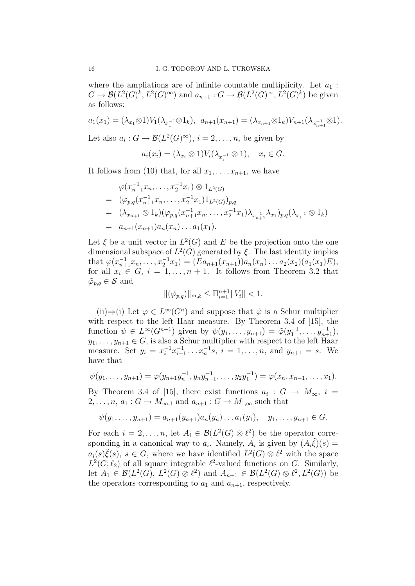where the ampliations are of infinite countable multiplicity. Let  $a_1$ :  $G \to \mathcal{B}(L^2(G)^k, L^2(G)^\infty)$  and  $a_{n+1}: G \to \mathcal{B}(L^2(G)^\infty, L^2(G)^k)$  be given as follows:

$$
a_1(x_1) = (\lambda_{x_1} \otimes 1) V_1(\lambda_{x_1^{-1}} \otimes 1_k), \ \ a_{n+1}(x_{n+1}) = (\lambda_{x_{n+1}} \otimes 1_k) V_{n+1}(\lambda_{x_{n+1}} \otimes 1).
$$

Let also  $a_i: G \to \mathcal{B}(L^2(G)^{\infty}), i = 2, \ldots, n$ , be given by

$$
a_i(x_i) = (\lambda_{x_i} \otimes 1) V_i(\lambda_{x_i^{-1}} \otimes 1), \quad x_i \in G.
$$

It follows from (10) that, for all  $x_1, \ldots, x_{n+1}$ , we have

$$
\varphi(x_{n+1}^{-1}x_n, \dots, x_2^{-1}x_1) \otimes 1_{L^2(G)}
$$
\n
$$
= (\varphi_{p,q}(x_{n+1}^{-1}x_n, \dots, x_2^{-1}x_1)1_{L^2(G)})_{p,q}
$$
\n
$$
= (\lambda_{x_{n+1}} \otimes 1_k)(\varphi_{p,q}(x_{n+1}^{-1}x_n, \dots, x_2^{-1}x_1)\lambda_{x_{n+1}^{-1}}\lambda_{x_1})_{p,q}(\lambda_{x_1^{-1}} \otimes 1_k)
$$
\n
$$
= a_{n+1}(x_{n+1})a_n(x_n) \dots a_1(x_1).
$$

Let  $\xi$  be a unit vector in  $L^2(G)$  and E be the projection onto the one dimensional subspace of  $L^2(G)$  generated by  $\xi$ . The last identity implies that  $\varphi(x_{n+1}^{-1}x_n,\ldots,x_2^{-1}x_1)=(Ea_{n+1}(x_{n+1}))a_n(x_n)\ldots a_2(x_2)(a_1(x_1)E),$ for all  $x_i \in G$ ,  $i = 1, ..., n + 1$ . It follows from Theorem 3.2 that  $\tilde{\varphi}_{p,q} \in \mathcal{S}$  and

$$
\|(\tilde{\varphi}_{p,q})\|_{\mathbf{m},k} \le \Pi_{i=1}^{n+1} \|V_i\| < 1.
$$

(ii)  $\Rightarrow$  (i) Let  $\varphi \in L^{\infty}(G^n)$  and suppose that  $\tilde{\varphi}$  is a Schur multiplier with respect to the left Haar measure. By Theorem 3.4 of [15], the function  $\psi \in L^{\infty}(G^{n+1})$  given by  $\psi(y_1, \ldots, y_{n+1}) = \tilde{\varphi}(y_1^{-1}, \ldots, y_{n+1}^{-1}),$  $y_1, \ldots, y_{n+1} \in G$ , is also a Schur multiplier with respect to the left Haar measure. Set  $y_i = x_i^{-1} x_{i+1}^{-1} \dots x_n^{-1} s, i = 1, \dots, n$ , and  $y_{n+1} = s$ . We have that

$$
\psi(y_1,\ldots,y_{n+1})=\varphi(y_{n+1}y_n^{-1},y_ny_{n-1}^{-1},\ldots,y_2y_1^{-1})=\varphi(x_n,x_{n-1},\ldots,x_1).
$$

By Theorem 3.4 of [15], there exist functions  $a_i : G \to M_\infty$ ,  $i =$  $2, \ldots, n, a_1 : G \to M_{\infty,1}$  and  $a_{n+1} : G \to M_{1,\infty}$  such that

$$
\psi(y_1,\ldots,y_{n+1})=a_{n+1}(y_{n+1})a_n(y_n)\ldots a_1(y_1),\quad y_1,\ldots,y_{n+1}\in G.
$$

For each  $i = 2, ..., n$ , let  $A_i \in \mathcal{B}(L^2(G) \otimes \ell^2)$  be the operator corresponding in a canonical way to  $a_i$ . Namely,  $A_i$  is given by  $(A_i\tilde{\xi})(s) =$  $a_i(s)\tilde{\xi}(s), s \in G$ , where we have identified  $L^2(G) \otimes \ell^2$  with the space  $L^2(G; \ell_2)$  of all square integrable  $\ell^2$ -valued functions on G. Similarly, let  $A_1 \in \mathcal{B}(L^2(G), L^2(G) \otimes \ell^2)$  and  $A_{n+1} \in \mathcal{B}(L^2(G) \otimes \ell^2, L^2(G))$  be the operators corresponding to  $a_1$  and  $a_{n+1}$ , respectively.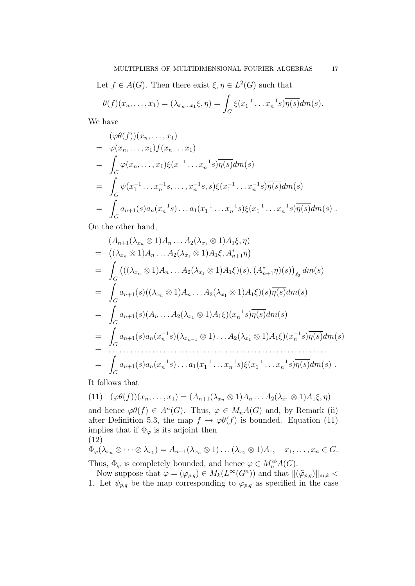Let  $f \in A(G)$ . Then there exist  $\xi, \eta \in L^2(G)$  such that

$$
\theta(f)(x_n,\ldots,x_1)=(\lambda_{x_n\ldots x_1}\xi,\eta)=\int_G\xi(x_1^{-1}\ldots x_n^{-1}s)\overline{\eta(s)}dm(s).
$$

We have

$$
\begin{split}\n&(\varphi\theta(f))(x_n,\ldots,x_1) \\
&= \varphi(x_n,\ldots,x_1)f(x_n\ldots x_1) \\
&= \int_G \varphi(x_n,\ldots,x_1)\xi(x_1^{-1}\ldots x_n^{-1}s)\overline{\eta(s)}dm(s) \\
&= \int_G \psi(x_1^{-1}\ldots x_n^{-1}s,\ldots,x_n^{-1}s,s)\xi(x_1^{-1}\ldots x_n^{-1}s)\overline{\eta(s)}dm(s) \\
&= \int_G a_{n+1}(s)a_n(x_n^{-1}s)\ldots a_1(x_1^{-1}\ldots x_n^{-1}s)\xi(x_1^{-1}\ldots x_n^{-1}s)\overline{\eta(s)}dm(s)\n\end{split}
$$

On the other hand,

$$
(A_{n+1}(\lambda_{x_n} \otimes 1)A_n \dots A_2(\lambda_{x_1} \otimes 1)A_1\xi, \eta)
$$
  
= 
$$
((\lambda_{x_n} \otimes 1)A_n \dots A_2(\lambda_{x_1} \otimes 1)A_1\xi, A_{n+1}^*\eta)
$$
  
= 
$$
\int_G (((\lambda_{x_n} \otimes 1)A_n \dots A_2(\lambda_{x_1} \otimes 1)A_1\xi)(s), (A_{n+1}^*\eta)(s))_{\ell_2} dm(s)
$$
  
= 
$$
\int_G a_{n+1}(s)((\lambda_{x_n} \otimes 1)A_n \dots A_2(\lambda_{x_1} \otimes 1)A_1\xi)(s)\overline{\eta(s)}dm(s)
$$
  
= 
$$
\int_G a_{n+1}(s)(A_n \dots A_2(\lambda_{x_1} \otimes 1)A_1\xi)(x_n^{-1}s)\overline{\eta(s)}dm(s)
$$
  
= 
$$
\int_G a_{n+1}(s)a_n(x_n^{-1}s)(\lambda_{x_{n-1}} \otimes 1) \dots A_2(\lambda_{x_1} \otimes 1)A_1\xi)(x_n^{-1}s)\overline{\eta(s)}dm(s)
$$
  
= 
$$
\int_G a_{n+1}(s)a_n(x_n^{-1}s) \dots a_1(x_1^{-1} \dots x_n^{-1}s)\xi(x_1^{-1} \dots x_n^{-1}s)\overline{\eta(s)}dm(s).
$$

It follows that

$$
(11) \quad (\varphi\theta(f))(x_n,\ldots,x_1)=(A_{n+1}(\lambda_{x_n}\otimes 1)A_n\ldots A_2(\lambda_{x_1}\otimes 1)A_1\xi,\eta)
$$

and hence  $\varphi\theta(f) \in A^n(G)$ . Thus,  $\varphi \in M_nA(G)$  and, by Remark (ii) after Definition 5.3, the map  $f \to \varphi \theta(f)$  is bounded. Equation (11) implies that if  $\Phi_{\varphi}$  is its adjoint then (12)

$$
\Phi_{\varphi}(\lambda_{x_n} \otimes \cdots \otimes \lambda_{x_1}) = A_{n+1}(\lambda_{x_n} \otimes 1) \dots (\lambda_{x_1} \otimes 1) A_1, \quad x_1, \dots, x_n \in G.
$$

Thus,  $\Phi_{\varphi}$  is completely bounded, and hence  $\varphi \in M_n^{cb}A(G)$ .

Now suppose that  $\varphi = (\varphi_{p,q}) \in M_k(L^{\infty}(G^n))$  and that  $\|(\tilde{\varphi}_{p,q})\|_{m,k}$ 1. Let  $\psi_{p,q}$  be the map corresponding to  $\varphi_{p,q}$  as specified in the case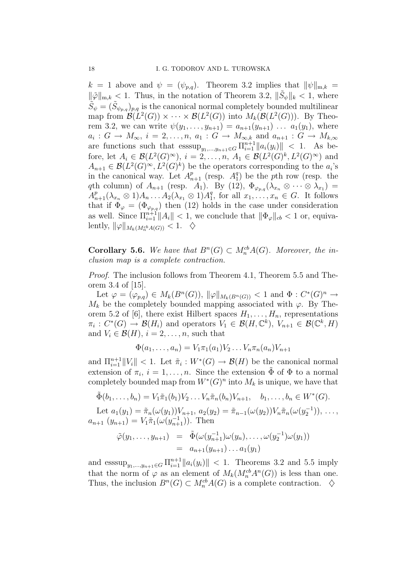$k = 1$  above and  $\psi = (\psi_{p,q})$ . Theorem 3.2 implies that  $\|\psi\|_{m,k} =$  $\|\tilde{\varphi}\|_{m,k} < 1$ . Thus, in the notation of Theorem 3.2,  $\|\tilde{S}_{\psi}\|_{k} < 1$ , where  $\tilde{S}_{\psi} = (\tilde{S}_{\psi_{p,q}})_{p,q}$  is the canonical normal completely bounded multilinear map from  $\mathcal{B}(L^2(G)) \times \cdots \times \mathcal{B}(L^2(G))$  into  $M_k(\mathcal{B}(L^2(G)))$ . By Theorem 3.2, we can write  $\psi(y_1, \ldots, y_{n+1}) = a_{n+1}(y_{n+1}) \ldots a_1(y_1)$ , where  $a_i: G \to M_\infty$ ,  $i = 2, \ldots, n$ ,  $a_1: G \to M_{\infty,k}$  and  $a_{n+1}: G \to M_{k,\infty}$ are functions such that  $\operatorname{esssup}_{y_1,\dots,y_{n+1}\in G} \Pi_{i=1}^{n+1} ||a_i(y_i)|| < 1$ . As before, let  $A_i \in \mathcal{B}(L^2(G)^\infty)$ ,  $i = 2, \ldots, n$ ,  $A_1 \in \mathcal{B}(L^2(G)^k, L^2(G)^\infty)$  and  $A_{n+1} \in \mathcal{B}(L^2(G)^\infty, L^2(G)^k)$  be the operators corresponding to the  $a_i$ 's in the canonical way. Let  $A_{n+1}^p$  (resp.  $A_1^q$  $_1^q$ ) be the pth row (resp. the qth column) of  $A_{n+1}$  (resp.  $A_1$ ). By (12),  $\Phi_{\varphi_{p,q}}(\lambda_{x_n} \otimes \cdots \otimes \lambda_{x_1}) =$  $A^p_{n+1}(\lambda_{x_n}\otimes 1)A_n\ldots A_2(\lambda_{x_1}\otimes 1)A_1^q$  $_1^q$ , for all  $x_1, \ldots, x_n \in G$ . It follows that if  $\Phi_{\varphi} = (\Phi_{\varphi_{p,q}})$  then (12) holds in the case under consideration as well. Since  $\prod_{i=1}^{n+1} ||A_i|| < 1$ , we conclude that  $||\Phi_{\varphi}||_{cb} < 1$  or, equivalently,  $\|\varphi\|_{M_k(M_n^{cb}A(G))} < 1. \quad \diamondsuit$ 

**Corollary 5.6.** We have that  $B<sup>n</sup>(G) \subset M<sub>n</sub><sup>cb</sup>A(G)$ . Moreover, the inclusion map is a complete contraction.

Proof. The inclusion follows from Theorem 4.1, Theorem 5.5 and Theorem 3.4 of [15].

Let  $\varphi = (\varphi_{p,q}) \in M_k(B^n(G)), ||\varphi||_{M_k(B^n(G))} < 1$  and  $\Phi: C^*(G)^n \to$  $M_k$  be the completely bounded mapping associated with  $\varphi$ . By Theorem 5.2 of [6], there exist Hilbert spaces  $H_1, \ldots, H_n$ , representations  $\pi_i: C^*(G) \to \mathcal{B}(H_i)$  and operators  $V_1 \in \mathcal{B}(H, \mathbb{C}^k)$ ,  $V_{n+1} \in \mathcal{B}(\mathbb{C}^k, H)$ and  $V_i \in \mathcal{B}(H)$ ,  $i = 2, \ldots, n$ , such that

$$
\Phi(a_1, \ldots, a_n) = V_1 \pi_1(a_1) V_2 \ldots V_n \pi_n(a_n) V_{n+1}
$$

and  $\prod_{i=1}^{n+1} ||V_i|| < 1$ . Let  $\tilde{\pi}_i : W^*(G) \to \mathcal{B}(H)$  be the canonical normal extension of  $\pi_i$ ,  $i = 1, \ldots, n$ . Since the extension  $\tilde{\Phi}$  of  $\Phi$  to a normal completely bounded map from  $W^*(G)^n$  into  $M_k$  is unique, we have that

$$
\tilde{\Phi}(b_1, ..., b_n) = V_1 \tilde{\pi}_1(b_1) V_2 ... V_n \tilde{\pi}_n(b_n) V_{n+1}, \quad b_1, ..., b_n \in W^*(G).
$$

Let  $a_1(y_1) = \tilde{\pi}_n(\omega(y_1))V_{n+1}, a_2(y_2) = \tilde{\pi}_{n-1}(\omega(y_2))V_n\tilde{\pi}_n(\omega(y_2^{-1})), \ldots,$  $a_{n+1} (y_{n+1}) = V_1 \tilde{\pi}_1(\omega(y_{n+1}^{-1}))$ . Then

$$
\tilde{\varphi}(y_1,\ldots,y_{n+1}) = \tilde{\Phi}(\omega(y_{n+1}^{-1})\omega(y_n),\ldots,\omega(y_2^{-1})\omega(y_1)) \n= a_{n+1}(y_{n+1})\ldots a_1(y_1)
$$

and  $\operatorname{esssup}_{y_1,...,y_{n+1}\in G} \Pi_{i=1}^{n+1} ||a_i(y_i)|| < 1$ . Theorems 3.2 and 5.5 imply that the norm of  $\varphi$  as an element of  $M_k(M_n^{cb}A^n(G))$  is less than one. Thus, the inclusion  $B<sup>n</sup>(G) \subset M_n^{cb}A(G)$  is a complete contraction.  $\diamondsuit$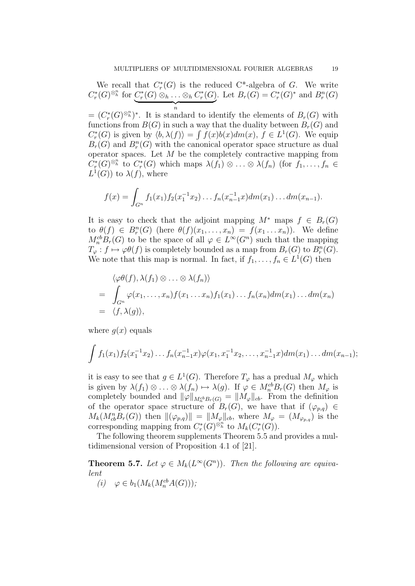We recall that  $C_r^*(G)$  is the reduced  $C^*$ -algebra of G. We write  $C_r^*(G)^{\otimes_h^n}$  for  $C_r^*(G) \otimes_h \ldots \otimes_h C_r^*(G)$  $\overbrace{n}$ n Let  $B_r(G) = C_r^*(G)^*$  and  $B_r^n(G)$ 

 $=(C_r^*(G)^{\otimes^n_h})^*$ . It is standard to identify the elements of  $B_r(G)$  with functions from  $B(G)$  in such a way that the duality between  $B_r(G)$  and  $C_r^*(G)$  is given by  $\langle b, \lambda(f) \rangle = \int f(x)b(x)dm(x), f \in L^1(G)$ . We equip  $B_r(G)$  and  $B_r^n(G)$  with the canonical operator space structure as dual operator spaces. Let  $M$  be the completely contractive mapping from  $C_r^*(G)^{\otimes^n_h}$  to  $C_r^*(G)$  which maps  $\lambda(f_1)\otimes\ldots\otimes\lambda(f_n)$  (for  $f_1,\ldots,f_n\in$  $L^1(G)$  to  $\lambda(f)$ , where

$$
f(x) = \int_{G^n} f_1(x_1) f_2(x_1^{-1} x_2) \dots f_n(x_{n-1}^{-1} x) dm(x_1) \dots dm(x_{n-1}).
$$

It is easy to check that the adjoint mapping  $M^*$  maps  $f \in B_r(G)$ to  $\theta(f) \in B_r^n(G)$  (here  $\theta(f)(x_1,\ldots,x_n) = f(x_1 \ldots x_n)$ ). We define  $M_n^{\text{cb}}B_r(G)$  to be the space of all  $\varphi \in L^{\infty}(G^n)$  such that the mapping  $T_{\varphi}: f \mapsto \varphi\theta(f)$  is completely bounded as a map from  $B_r(G)$  to  $B_r^n(G)$ . We note that this map is normal. In fact, if  $f_1, \ldots, f_n \in L^1(G)$  then

$$
\langle \varphi \theta(f), \lambda(f_1) \otimes \ldots \otimes \lambda(f_n) \rangle
$$
  
= 
$$
\int_{G^n} \varphi(x_1, \ldots, x_n) f(x_1 \ldots x_n) f_1(x_1) \ldots f_n(x_n) dm(x_1) \ldots dm(x_n)
$$
  
= 
$$
\langle f, \lambda(g) \rangle,
$$

where  $q(x)$  equals

$$
\int f_1(x_1)f_2(x_1^{-1}x_2)\ldots f_n(x_{n-1}^{-1}x)\varphi(x_1,x_1^{-1}x_2,\ldots,x_{n-1}^{-1}x)dm(x_1)\ldots dm(x_{n-1});
$$

it is easy to see that  $g \in L^1(G)$ . Therefore  $T_{\varphi}$  has a predual  $M_{\varphi}$  which is given by  $\lambda(f_1) \otimes \ldots \otimes \lambda(f_n) \mapsto \lambda(g)$ . If  $\varphi \in M_n^{cb}B_r(G)$  then  $M_{\varphi}$  is completely bounded and  $\|\varphi\|_{M_n^{cb}B_r(G)} = \|M_\varphi\|_{cb}$ . From the definition of the operator space structure of  $B_r(G)$ , we have that if  $(\varphi_{p,q}) \in$  $M_k(M_{cb}^n B_r(G))$  then  $\|(\varphi_{p,q})\| = \|M_{\varphi}\|_{cb}$ , where  $M_{\varphi} = (M_{\varphi_{p,q}})$  is the corresponding mapping from  $C^*_r(G)^{\otimes^n_h}$  to  $M_k(C^*_r(G))$ .

The following theorem supplements Theorem 5.5 and provides a multidimensional version of Proposition 4.1 of [21].

**Theorem 5.7.** Let  $\varphi \in M_k(L^{\infty}(G^n))$ . Then the following are equivalent

$$
(i) \quad \varphi \in b_1(M_k(M_n^{cb}A(G))),
$$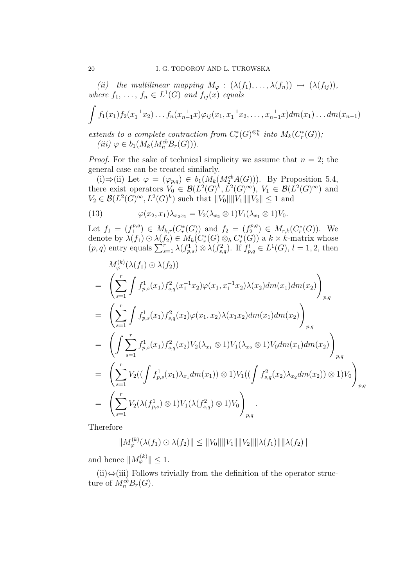(ii) the multilinear mapping  $M_{\varphi} : (\lambda(f_1), \ldots, \lambda(f_n)) \mapsto (\lambda(f_{ij})),$ where  $f_1, \ldots, f_n \in L^1(G)$  and  $f_{ij}(x)$  equals

$$
\int f_1(x_1)f_2(x_1^{-1}x_2)\ldots f_n(x_{n-1}^{-1}x)\varphi_{ij}(x_1,x_1^{-1}x_2,\ldots,x_{n-1}^{-1}x)dm(x_1)\ldots dm(x_{n-1})
$$

extends to a complete contraction from  $C^*_r(G)^{\otimes^n_h}$  into  $M_k(C^*_r(G))$ ; (iii)  $\varphi \in b_1(M_k(M_n^{cb}B_r(G))).$ 

*Proof.* For the sake of technical simplicity we assume that  $n = 2$ ; the general case can be treated similarly.

(i)⇒(ii) Let  $\varphi = (\varphi_{p,q}) \in b_1(M_k(M_2^{cb}A(G)))$ . By Proposition 5.4, there exist operators  $V_0 \in \mathcal{B}(L^2(G)^k, L^2(G)^\infty)$ ,  $V_1 \in \mathcal{B}(L^2(G)^\infty)$  and  $V_2 \in \mathcal{B}(L^2(G)^\infty, L^2(G)^k)$  such that  $||V_0|| ||V_1|| ||V_2|| \leq 1$  and

(13) 
$$
\varphi(x_2, x_1) \lambda_{x_2 x_1} = V_2(\lambda_{x_2} \otimes 1) V_1(\lambda_{x_1} \otimes 1) V_0.
$$

Let  $f_1 = (f_1^{p,q})$  $f_1^{p,q}$ )  $\in M_{k,r}(C_r^*(G))$  and  $f_2 = (f_2^{p,q})$  $L_2^{p,q}$   $\in M_{r,k}(C_r^*(G)).$  We denote by  $\lambda(f_1) \odot \lambda(f_2) \in M_k(C_r^*(G) \otimes_h C_r^*(G))$  a  $k \times k$ -matrix whose  $(p, q)$  entry equals  $\sum_{s=1}^{r} \lambda(f_{p,s}^1) \otimes \lambda(f_{s,q}^2)$ . If  $f_{p,q}^l \in L^1(G)$ ,  $l = 1, 2$ , then

$$
M_{\varphi}^{(k)}(\lambda(f_1) \odot \lambda(f_2))
$$
\n
$$
= \left( \sum_{s=1}^{r} \int f_{p,s}^{1}(x_1) f_{s,q}^{2}(x_1^{-1}x_2) \varphi(x_1, x_1^{-1}x_2) \lambda(x_2) dm(x_1) dm(x_2) \right)_{p,q}
$$
\n
$$
= \left( \sum_{s=1}^{r} \int f_{p,s}^{1}(x_1) f_{s,q}^{2}(x_2) \varphi(x_1, x_2) \lambda(x_1x_2) dm(x_1) dm(x_2) \right)_{p,q}
$$
\n
$$
= \left( \int \sum_{s=1}^{r} f_{p,s}^{1}(x_1) f_{s,q}^{2}(x_2) V_2(\lambda_{x_1} \otimes 1) V_1(\lambda_{x_2} \otimes 1) V_0 dm(x_1) dm(x_2) \right)_{p,q}
$$
\n
$$
= \left( \sum_{s=1}^{r} V_2((\int f_{p,s}^{1}(x_1) \lambda_{x_1} dm(x_1)) \otimes 1) V_1((\int f_{s,q}^{2}(x_2) \lambda_{x_2} dm(x_2)) \otimes 1) V_0 \right)_{p,q}
$$
\n
$$
= \left( \sum_{s=1}^{r} V_2(\lambda(f_{p,s}^{1}) \otimes 1) V_1(\lambda(f_{s,q}^{2}) \otimes 1) V_0 \right)_{p,q}.
$$

Therefore

$$
||M_{\varphi}^{(k)}(\lambda(f_1) \odot \lambda(f_2)|| \leq ||V_0|| ||V_1|| ||V_2|| ||\lambda(f_1)|| ||\lambda(f_2)||
$$

and hence  $||M_{\varphi}^{(k)}|| \leq 1$ .

 $(ii) \Leftrightarrow$ (iii) Follows trivially from the definition of the operator structure of  $M_n^{cb}B_r(G)$ .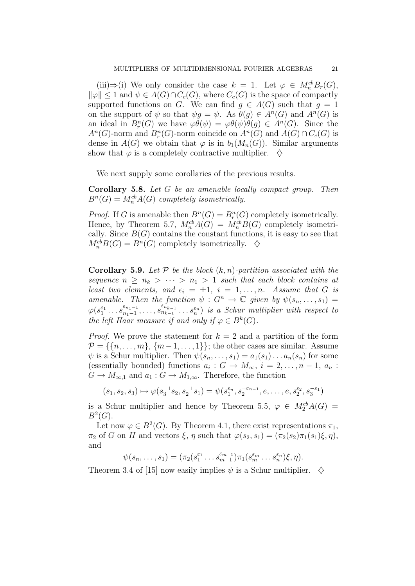(iii)  $\Rightarrow$  (i) We only consider the case  $k = 1$ . Let  $\varphi \in M_n^{cb}B_r(G)$ ,  $\|\varphi\| \leq 1$  and  $\psi \in A(G) \cap C_c(G)$ , where  $C_c(G)$  is the space of compactly supported functions on G. We can find  $q \in A(G)$  such that  $q = 1$ on the support of  $\psi$  so that  $\psi g = \psi$ . As  $\theta(g) \in A^n(G)$  and  $A^n(G)$  is an ideal in  $B_r^n(G)$  we have  $\varphi\theta(\psi) = \varphi\theta(\psi)\theta(g) \in A^n(G)$ . Since the  $A<sup>n</sup>(G)$ -norm and  $B<sup>n</sup><sub>r</sub>(G)$ -norm coincide on  $A<sup>n</sup>(G)$  and  $A(G) \cap C<sub>c</sub>(G)$  is dense in  $A(G)$  we obtain that  $\varphi$  is in  $b_1(M_n(G))$ . Similar arguments show that  $\varphi$  is a completely contractive multiplier.  $\diamondsuit$ 

We next supply some corollaries of the previous results.

Corollary 5.8. Let G be an amenable locally compact group. Then  $B<sup>n</sup>(G) = M<sub>n</sub><sup>cb</sup> A(G)$  completely isometrically.

*Proof.* If G is amenable then  $B<sup>n</sup>(G) = B<sup>n</sup><sub>r</sub>(G)$  completely isometrically. Hence, by Theorem 5.7,  $M_n^{cb}A(G) = M_n^{cb}B(G)$  completely isometrically. Since  $B(G)$  contains the constant functions, it is easy to see that  $M_n^{cb}B(G) = B^n(G)$  completely isometrically.  $\diamondsuit$ 

**Corollary 5.9.** Let  $P$  be the block  $(k, n)$ -partition associated with the sequence  $n \geq n_k > \cdots > n_1 > 1$  such that each block contains at least two elements, and  $\epsilon_i = \pm 1$ ,  $i = 1, \ldots, n$ . Assume that G is amenable. Then the function  $\psi: G^n \to \mathbb{C}$  given by  $\psi(s_n, \ldots, s_1) =$  $\varphi(s_1^{\varepsilon_1} \dots s_{n_1-1}^{\varepsilon_{n_1-1}})$  $\begin{bmatrix} \varepsilon_{n_1-1} & \dots & \varepsilon_{n_{k-1}} & \dots & \varepsilon_n \end{bmatrix}$  is a Schur multiplier with respect to the left Haar measure if and only if  $\varphi \in B^k(G)$ .

*Proof.* We prove the statement for  $k = 2$  and a partition of the form  $\mathcal{P} = \{\{n, \ldots, m\}, \{m-1, \ldots, 1\}\};$  the other cases are similar. Assume  $\psi$  is a Schur multiplier. Then  $\psi(s_n, \ldots, s_1) = a_1(s_1) \ldots a_n(s_n)$  for some (essentially bounded) functions  $a_i: G \to M_\infty$ ,  $i = 2, \ldots, n-1, a_n$ :  $G \to M_{\infty,1}$  and  $a_1 : G \to M_{1,\infty}$ . Therefore, the function

$$
(s_1, s_2, s_3) \mapsto \varphi(s_3^{-1} s_2, s_2^{-1} s_1) = \psi(s_1^{\varepsilon_n}, s_2^{-\varepsilon_{n-1}}, e, \dots, e, s_2^{\varepsilon_2}, s_3^{-\varepsilon_1})
$$

is a Schur multiplier and hence by Theorem 5.5,  $\varphi \in M_2^{cb}A(G)$  =  $B^2(G)$ .

Let now  $\varphi \in B^2(G)$ . By Theorem 4.1, there exist representations  $\pi_1$ ,  $\pi_2$  of G on H and vectors  $\xi$ ,  $\eta$  such that  $\varphi(s_2, s_1) = (\pi_2(s_2)\pi_1(s_1)\xi, \eta)$ , and

$$
\psi(s_n,\ldots,s_1)=(\pi_2(s_1^{\varepsilon_1}\ldots s_{m-1}^{\varepsilon_{m-1}})\pi_1(s_m^{\varepsilon_m}\ldots s_n^{\varepsilon_n})\xi,\eta).
$$

Theorem 3.4 of [15] now easily implies  $\psi$  is a Schur multiplier.  $\diamond$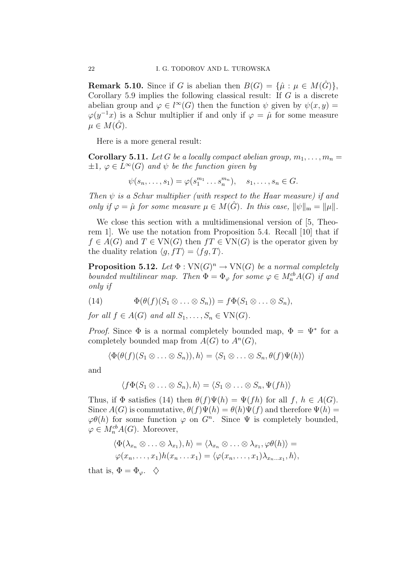**Remark 5.10.** Since if G is abelian then  $B(G) = {\hat{\mu} : \mu \in M(\hat{G})}$ , Corollary 5.9 implies the following classical result: If  $G$  is a discrete abelian group and  $\varphi \in l^{\infty}(G)$  then the function  $\psi$  given by  $\psi(x, y) =$  $\varphi(y^{-1}x)$  is a Schur multiplier if and only if  $\varphi = \hat{\mu}$  for some measure  $\mu \in M(\hat{G})$ .

Here is a more general result:

**Corollary 5.11.** Let G be a locally compact abelian group,  $m_1, \ldots, m_n =$  $\pm 1, \varphi \in L^{\infty}(G)$  and  $\psi$  be the function given by

$$
\psi(s_n,\ldots,s_1)=\varphi(s_1^{m_1}\ldots s_n^{m_n}), \quad s_1,\ldots,s_n\in G.
$$

Then  $\psi$  is a Schur multiplier (with respect to the Haar measure) if and only if  $\varphi = \hat{\mu}$  for some measure  $\mu \in M(\hat{G})$ . In this case,  $\|\psi\|_{\mathfrak{m}} = \|\mu\|$ .

We close this section with a multidimensional version of [5, Theorem 1]. We use the notation from Proposition 5.4. Recall [10] that if  $f \in A(G)$  and  $T \in VN(G)$  then  $fT \in VN(G)$  is the operator given by the duality relation  $\langle q, fT \rangle = \langle fg, T \rangle$ .

**Proposition 5.12.** Let  $\Phi: VN(G)^n \to VN(G)$  be a normal completely bounded multilinear map. Then  $\Phi = \Phi_{\varphi}$  for some  $\varphi \in M_n^{cb}A(G)$  if and only if

(14) 
$$
\Phi(\theta(f)(S_1 \otimes \ldots \otimes S_n)) = f\Phi(S_1 \otimes \ldots \otimes S_n),
$$

for all  $f \in A(G)$  and all  $S_1, \ldots, S_n \in VN(G)$ .

*Proof.* Since  $\Phi$  is a normal completely bounded map,  $\Phi = \Psi^*$  for a completely bounded map from  $A(G)$  to  $A<sup>n</sup>(G)$ ,

$$
\langle \Phi(\theta(f)(S_1 \otimes \ldots \otimes S_n)), h \rangle = \langle S_1 \otimes \ldots \otimes S_n, \theta(f)\Psi(h) \rangle
$$

and

$$
\langle f\Phi(S_1\otimes\ldots\otimes S_n),h\rangle=\langle S_1\otimes\ldots\otimes S_n,\Psi(fh)\rangle
$$

Thus, if  $\Phi$  satisfies (14) then  $\theta(f)\Psi(h) = \Psi(fh)$  for all  $f, h \in A(G)$ . Since  $A(G)$  is commutative,  $\theta(f)\Psi(h) = \theta(h)\Psi(f)$  and therefore  $\Psi(h) =$  $\varphi\theta(h)$  for some function  $\varphi$  on  $G^n$ . Since  $\Psi$  is completely bounded,  $\varphi \in M_n^{cb}A(G)$ . Moreover,

$$
\langle \Phi(\lambda_{x_n} \otimes \ldots \otimes \lambda_{x_1}), h \rangle = \langle \lambda_{x_n} \otimes \ldots \otimes \lambda_{x_1}, \varphi \theta(h) \rangle =
$$
  

$$
\varphi(x_n, \ldots, x_1) h(x_n \ldots x_1) = \langle \varphi(x_n, \ldots, x_1) \lambda_{x_n \ldots x_1}, h \rangle,
$$

that is,  $\Phi = \Phi_{\varphi}$ .  $\Diamond$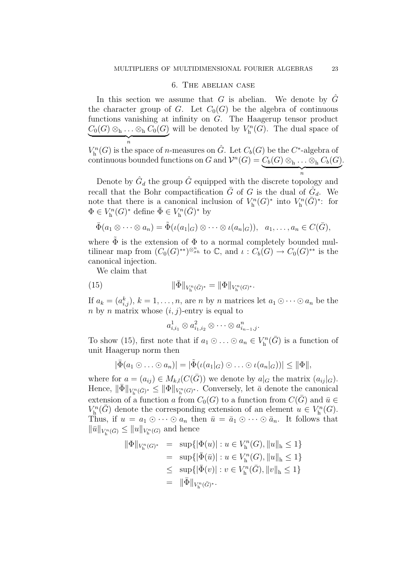#### 6. The abelian case

In this section we assume that G is abelian. We denote by  $\tilde{G}$ the character group of G. Let  $C_0(G)$  be the algebra of continuous functions vanishing at infinity on G. The Haagerup tensor product  $C_0(G) \otimes_h \ldots \otimes_h C_0(G)$  will be denoted by  $V_h^n$  $\overbrace{n}$ n  $\chi_h^n(G)$ . The dual space of

 $V_{h}^{n}(G)$  is the space of *n*-measures on  $\hat{G}$ . Let  $C_{b}(G)$  be the  $C^{*}$ -algebra of  $V<sub>h</sub>(G)$  is the space of *n*-measures on G. Let  $C_b(G)$  be the  $C$ -algebra of continuous bounded functions on G and  $V<sup>n</sup>(G) = C_b(G) \otimes_h \ldots \otimes_h C_b(G)$  $\overbrace{n}$ n .

Denote by  $\hat{G}_d$  the group  $\hat{G}$  equipped with the discrete topology and recall that the Bohr compactification  $\bar{G}$  of G is the dual of  $\widetilde{G}_d$ . We note that there is a canonical inclusion of  $V_h^n$  $V_{\mathrm{h}}^n(G)^*$  into  $V_{\mathrm{h}}^n$  $\binom{m}{h}(\overline{G})^*$ : for  $\Phi \in V_{\mathbf{h}}^n$  $V_{\mathrm{h}}^n(G)^*$  define  $\bar{\Phi} \in V_{\mathrm{h}}^n$  $\chi_h^n(\bar{G})^*$  by

$$
\overline{\Phi}(a_1\otimes\cdots\otimes a_n)=\widetilde{\Phi}(\iota(a_1|_G)\otimes\cdots\otimes\iota(a_n|_G)),\ \ a_1,\ldots,a_n\in C(\overline{G}),
$$

where  $\tilde{\Phi}$  is the extension of  $\Phi$  to a normal completely bounded multilinear map from  $(C_0(G)^{**})^{\otimes_{\sigma h}^n}$  to  $\mathbb{C}$ , and  $\iota: C_b(G) \to C_0(G)^{**}$  is the canonical injection.

We claim that

(15) 
$$
\|\bar{\Phi}\|_{V_{\mathbf{h}}^n(\bar{G})^*} = \|\Phi\|_{V_{\mathbf{h}}^n(G)^*}.
$$

If  $a_k = (a_{i,j}^k)$ ,  $k = 1, \ldots, n$ , are n by n matrices let  $a_1 \odot \cdots \odot a_n$  be the n by n matrix whose  $(i, j)$ -entry is equal to

$$
a_{i,i_1}^1 \otimes a_{i_1,i_2}^2 \otimes \cdots \otimes a_{i_{n-1},j}^n.
$$

To show (15), first note that if  $a_1 \odot \ldots \odot a_n \in V_h^n$  $\binom{m}{h}$  is a function of unit Haagerup norm then

$$
|\bar{\Phi}(a_1 \odot \ldots \odot a_n)| = |\tilde{\Phi}(\iota(a_1|_G) \odot \ldots \odot \iota(a_n|_G))| \leq ||\Phi||,
$$

where for  $a = (a_{ij}) \in M_{k,l}(C(\bar{G}))$  we denote by  $a|_G$  the matrix  $(a_{ij}|_G)$ . Hence,  $\|\bar{\Phi}\|_{V_{\mathbf{h}}^n(\bar{G})^*} \leq \|\Phi\|_{V_{\mathbf{h}}^n(G)^*}$ . Conversely, let  $\bar{a}$  denote the canonical extension of a function a from  $C_0(G)$  to a function from  $C(\bar{G})$  and  $\bar{u} \in$  $V_{\rm h}^n$  $K_{\mathbf{h}}^{n}(\bar{G})$  denote the corresponding extension of an element  $u \in V_{\mathbf{h}}^{n}$  $\binom{rn}{h}(G).$ Thus, if  $u = a_1 \odot \cdots \odot a_n$  then  $\bar{u} = \bar{a}_1 \odot \cdots \odot \bar{a}_n$ . It follows that  $\|\bar{u}\|_{V_{\mathbf{h}}^n(\bar{G})} \leq \|u\|_{V_{\mathbf{h}}^n(G)}$  and hence

$$
\|\Phi\|_{V_{\mathbf{h}}^n(G)^*} = \sup\{|\Phi(u)| : u \in V_{\mathbf{h}}^n(G), \|u\|_{\mathbf{h}} \le 1\}
$$
  
\n
$$
= \sup\{|\bar{\Phi}(\bar{u})| : u \in V_{\mathbf{h}}^n(G), \|u\|_{\mathbf{h}} \le 1\}
$$
  
\n
$$
\le \sup\{|\bar{\Phi}(v)| : v \in V_{\mathbf{h}}^n(\bar{G}), \|v\|_{\mathbf{h}} \le 1\}
$$
  
\n
$$
= \|\bar{\Phi}\|_{V_{\mathbf{h}}^n(\bar{G})^*}.
$$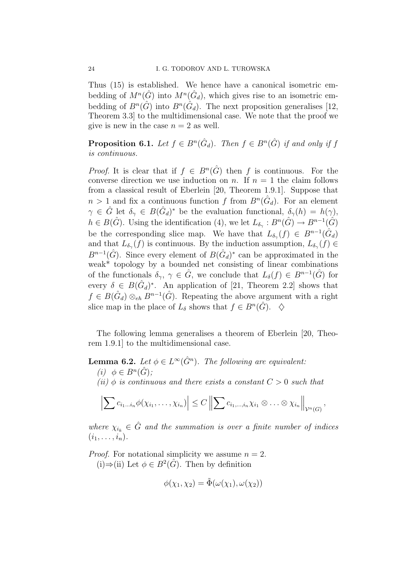Thus (15) is established. We hence have a canonical isometric embedding of  $M^n(\hat{G})$  into  $M^n(\hat{G}_d)$ , which gives rise to an isometric embedding of  $B^n(\hat{G})$  into  $B^n(\hat{G}_d)$ . The next proposition generalises [12, Theorem 3.3] to the multidimensional case. We note that the proof we give is new in the case  $n = 2$  as well.

**Proposition 6.1.** Let  $f \in B^n(\hat{G}_d)$ . Then  $f \in B^n(\hat{G})$  if and only if f is continuous.

*Proof.* It is clear that if  $f \in B<sup>n</sup>(\hat{G})$  then f is continuous. For the converse direction we use induction on n. If  $n = 1$  the claim follows from a classical result of Eberlein [20, Theorem 1.9.1]. Suppose that  $n > 1$  and fix a continuous function f from  $B<sup>n</sup>(\hat{G}_d)$ . For an element  $\gamma \in \hat{G}$  let  $\delta_{\gamma} \in B(\hat{G}_d)^*$  be the evaluation functional,  $\delta_{\gamma}(h) = h(\gamma)$ ,  $h \in B(\hat{G})$ . Using the identification (4), we let  $L_{\delta_{\gamma}}: B^{n}(\hat{G}) \to B^{n-1}(\hat{G})$ be the corresponding slice map. We have that  $L_{\delta_{\gamma}}(f) \in B^{n-1}(\hat{G}_d)$ and that  $L_{\delta_{\gamma}}(f)$  is continuous. By the induction assumption,  $L_{\delta_{\gamma}}(f) \in$  $B^{n-1}(\hat{G})$ . Since every element of  $B(\hat{G}_d)^*$  can be approximated in the weak\* topology by a bounded net consisting of linear combinations of the functionals  $\delta_{\gamma}$ ,  $\gamma \in \hat{G}$ , we conclude that  $L_{\delta}(f) \in B^{n-1}(\hat{G})$  for every  $\delta \in B(\hat{G}_d)^*$ . An application of [21, Theorem 2.2] shows that  $f \in B(\hat{G}_d) \otimes_{eh} B^{n-1}(\hat{G})$ . Repeating the above argument with a right slice map in the place of  $L_{\delta}$  shows that  $f \in B^{n}(\hat{G})$ .  $\diamondsuit$ 

The following lemma generalises a theorem of Eberlein [20, Theorem 1.9.1] to the multidimensional case.

**Lemma 6.2.** Let  $\phi \in L^{\infty}(\hat{G}^n)$ . The following are equivalent:

- (i)  $\phi \in B^n(\hat{G});$
- (ii)  $\phi$  is continuous and there exists a constant  $C > 0$  such that

$$
\left|\sum c_{i_1\ldots i_n}\phi(\chi_{i_1},\ldots,\chi_{i_n})\right|\leq C\left\|\sum c_{i_1,\ldots,i_n}\chi_{i_1}\otimes\ldots\otimes\chi_{i_n}\right\|_{\mathcal{V}^n(G)},
$$

where  $\chi_{i_k} \in \hat{G}$  and the summation is over a finite number of indices  $(i_1,\ldots,i_n).$ 

*Proof.* For notational simplicity we assume  $n = 2$ . (i)⇒(ii) Let  $\phi \in B^2(\hat{G})$ . Then by definition

$$
\phi(\chi_1, \chi_2) = \tilde{\Phi}(\omega(\chi_1), \omega(\chi_2))
$$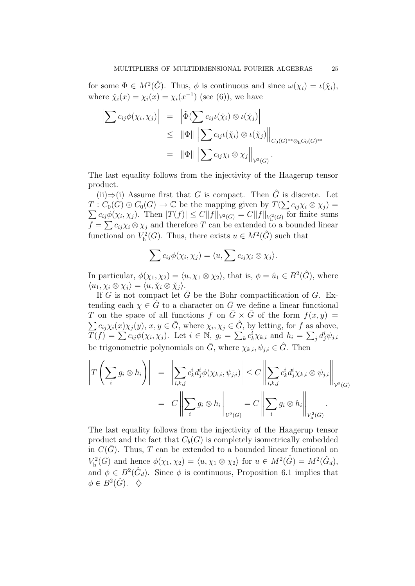for some  $\Phi \in M^2(\hat{G})$ . Thus,  $\phi$  is continuous and since  $\omega(\chi_i) = \iota(\check{\chi}_i)$ , where  $\tilde{\chi}_i(x) = \overline{\chi_i(x)} = \chi_i(x^{-1})$  (see (6)), we have

$$
\left| \sum c_{ij} \phi(\chi_i, \chi_j) \right| = \left| \tilde{\Phi}(\sum c_{ij} \iota(\tilde{\chi}_i) \otimes \iota(\tilde{\chi}_j)) \right|
$$
  
\n
$$
\leq \|\Phi\| \left\| \sum c_{ij} \iota(\tilde{\chi}_i) \otimes \iota(\tilde{\chi}_j) \right\|_{C_0(G)^{**} \otimes_{\mathbf{h}} C_0(G)^{**}}
$$
  
\n
$$
= \|\Phi\| \left\| \sum c_{ij} \chi_i \otimes \chi_j \right\|_{\mathcal{V}^2(G)}.
$$

The last equality follows from the injectivity of the Haagerup tensor product.

(ii)⇒(i) Assume first that G is compact. Then  $\hat{G}$  is discrete. Let  $T: C_0(G) \odot C_0(G) \rightarrow \mathbb{C}$  be the mapping given by  $T(\sum c_{ij} \chi_i \otimes \chi_j) =$  $\sum c_{ij}\phi(\chi_i, \chi_j)$ . Then  $|T(f)| \leq C||f||_{\mathcal{V}^2(G)} = C||f||_{V^2_{\text{h}}(G)}$  for finite sums  $f = \sum c_{ij} \chi_i \otimes \chi_j$  and therefore T can be extended to a bounded linear functional on  $V<sub>h</sub><sup>2</sup>$  $\chi_h^2(G)$ . Thus, there exists  $u \in M^2(\hat{G})$  such that

$$
\sum c_{ij}\phi(\chi_i,\chi_j)=\langle u,\sum c_{ij}\chi_i\otimes\chi_j\rangle.
$$

In particular,  $\phi(\chi_1, \chi_2) = \langle u, \chi_1 \otimes \chi_2 \rangle$ , that is,  $\phi = \hat{u}_1 \in B^2(\hat{G})$ , where  $\langle u_1, \chi_i \otimes \chi_j \rangle = \langle u, \check{\chi}_i \otimes \check{\chi}_j \rangle.$ 

If G is not compact let  $\bar{G}$  be the Bohr compactification of G. Extending each  $\chi \in \hat{G}$  to a character on  $\bar{G}$  we define a linear functional T on the space of all functions f on  $\overline{G} \times \overline{G}$  of the form  $f(x, y) =$  $\sum c_{ij}\chi_i(x)\chi_j(y), x, y \in \overline{G}$ , where  $\chi_i, \chi_j \in \hat{G}$ , by letting, for f as above,  $T(f) = \sum c_{ij} \phi(\chi_i, \chi_j)$ . Let  $i \in \mathbb{N}$ ,  $g_i = \sum_k c_k^i \chi_{k,i}$  and  $h_i = \sum_j d_j^i \psi_{j,i}$ be trigonometric polynomials on  $\bar{G}$ , where  $\chi_{k,i}, \psi_{j,i} \in \hat{G}$ . Then

$$
\left| T\left(\sum_{i} g_{i} \otimes h_{i}\right) \right| = \left| \sum_{i,k,j} c_{k}^{i} d_{j}^{i} \phi(\chi_{k,i}, \psi_{j,i}) \right| \leq C \left\| \sum_{i,k,j} c_{k}^{i} d_{j}^{i} \chi_{k,i} \otimes \psi_{j,i} \right\|_{\mathcal{V}^{2}(G)}
$$

$$
= C \left\| \sum_{i} g_{i} \otimes h_{i} \right\|_{\mathcal{V}^{2}(G)} = C \left\| \sum_{i} g_{i} \otimes h_{i} \right\|_{\mathcal{V}^{2}_{k}(G)}.
$$

The last equality follows from the injectivity of the Haagerup tensor product and the fact that  $C_b(G)$  is completely isometrically embedded in  $C(\overline{G})$ . Thus, T can be extended to a bounded linear functional on  $V_{\rm h}^2$  $K^2_{\text{h}}(\tilde{G})$  and hence  $\phi(\chi_1, \chi_2) = \langle u, \chi_1 \otimes \chi_2 \rangle$  for  $u \in M^2(\hat{G}) = M^2(\hat{G}_d)$ , and  $\phi \in B^2(\hat{G}_d)$ . Since  $\phi$  is continuous, Proposition 6.1 implies that  $\phi \in B^2(\hat{G})$ .  $\diamondsuit$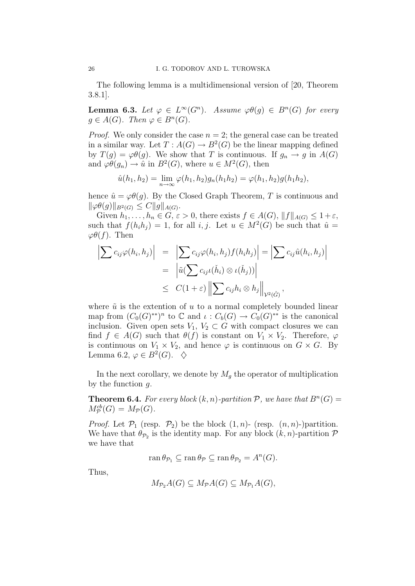The following lemma is a multidimensional version of [20, Theorem 3.8.1].

**Lemma 6.3.** Let  $\varphi \in L^{\infty}(G^n)$ . Assume  $\varphi \theta(g) \in B^n(G)$  for every  $g \in A(G)$ . Then  $\varphi \in B^n(G)$ .

*Proof.* We only consider the case  $n = 2$ ; the general case can be treated in a similar way. Let  $T: A(G) \to B^2(G)$  be the linear mapping defined by  $T(g) = \varphi \theta(g)$ . We show that T is continuous. If  $g_n \to g$  in  $A(G)$ and  $\varphi\theta(g_n) \to \hat{u}$  in  $B^2(G)$ , where  $u \in M^2(G)$ , then

$$
\hat{u}(h_1, h_2) = \lim_{n \to \infty} \varphi(h_1, h_2) g_n(h_1 h_2) = \varphi(h_1, h_2) g(h_1 h_2),
$$

hence  $\hat{u} = \varphi \theta(q)$ . By the Closed Graph Theorem, T is continuous and  $\|\varphi\theta(g)\|_{B^2(G)} \leq C \|g\|_{A(G)}.$ 

Given  $h_1, \ldots, h_n \in G$ ,  $\varepsilon > 0$ , there exists  $f \in A(G)$ ,  $||f||_{A(G)} \leq 1 + \varepsilon$ , such that  $f(h_i h_j) = 1$ , for all  $i, j$ . Let  $u \in M^2(G)$  be such that  $\hat{u} =$  $\varphi\theta(f)$ . Then

$$
\left| \sum c_{ij} \varphi(h_i, h_j) \right| = \left| \sum c_{ij} \varphi(h_i, h_j) f(h_i h_j) \right| = \left| \sum c_{ij} \hat{u}(h_i, h_j) \right|
$$
  
= 
$$
\left| \tilde{u}(\sum c_{ij} \iota(\check{h}_i) \otimes \iota(\check{h}_j)) \right|
$$
  

$$
\leq C(1+\varepsilon) \left\| \sum c_{ij} h_i \otimes h_j \right\|_{\mathcal{V}^2(\hat{G})},
$$

where  $\tilde{u}$  is the extention of u to a normal completely bounded linear map from  $(C_0(G)^{**})^n$  to  $\mathbb C$  and  $\iota: C_b(G) \to C_0(G)^{**}$  is the canonical inclusion. Given open sets  $V_1, V_2 \subset G$  with compact closures we can find  $f \in A(G)$  such that  $\theta(f)$  is constant on  $V_1 \times V_2$ . Therefore,  $\varphi$ is continuous on  $V_1 \times V_2$ , and hence  $\varphi$  is continuous on  $G \times G$ . By Lemma 6.2,  $\varphi \in B^2(G)$ .  $\diamondsuit$ 

In the next corollary, we denote by  $M<sub>g</sub>$  the operator of multiplication by the function  $q$ .

**Theorem 6.4.** For every block  $(k, n)$ -partition P, we have that  $B<sup>n</sup>(G)$  =  $M_{\mathcal{P}}^{cb}(G) = M_{\mathcal{P}}(G).$ 

*Proof.* Let  $\mathcal{P}_1$  (resp.  $\mathcal{P}_2$ ) be the block  $(1, n)$ - (resp.  $(n, n)$ -)partition. We have that  $\theta_{\mathcal{P}_2}$  is the identity map. For any block  $(k, n)$ -partition  $\mathcal{P}$ we have that

 $\operatorname{ran} \theta_{\mathcal{P}_1} \subseteq \operatorname{ran} \theta_{\mathcal{P}} \subseteq \operatorname{ran} \theta_{\mathcal{P}_2} = A^n(G).$ 

Thus,

$$
M_{\mathcal{P}_2}A(G) \subseteq M_{\mathcal{P}}A(G) \subseteq M_{\mathcal{P}_1}A(G),
$$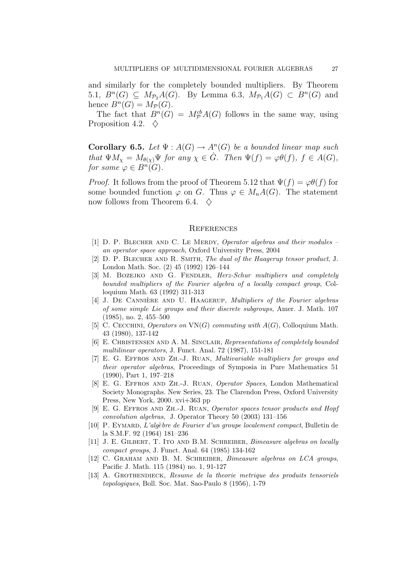and similarly for the completely bounded multipliers. By Theorem 5.1,  $B<sup>n</sup>(G) \subseteq M_{\mathcal{P}_2}A(G)$ . By Lemma 6.3,  $M_{\mathcal{P}_1}A(G) \subset B<sup>n</sup>(G)$  and hence  $B^n(G) = M_{\mathcal{P}}(G)$ .

The fact that  $B^n(G) = M_{\mathcal{P}}^{cb}A(G)$  follows in the same way, using Proposition 4.2.  $\diamond$ 

**Corollary 6.5.** Let  $\Psi : A(G) \to A^n(G)$  be a bounded linear map such that  $\Psi M_{\chi} = M_{\theta(\chi)} \Psi$  for any  $\chi \in \hat{G}$ . Then  $\Psi(f) = \varphi \theta(f)$ ,  $f \in A(G)$ , for some  $\varphi \in B^n(G)$ .

*Proof.* It follows from the proof of Theorem 5.12 that  $\Psi(f) = \varphi \theta(f)$  for some bounded function  $\varphi$  on G. Thus  $\varphi \in M_nA(G)$ . The statement now follows from Theorem 6.4.  $\diamond$ 

#### **REFERENCES**

- [1] D. P. Blecher and C. Le Merdy, Operator algebras and their modules an operator space approach, Oxford University Press, 2004
- [2] D. P. BLECHER AND R. SMITH, The dual of the Haagerup tensor product, J. London Math. Soc. (2) 45 (1992) 126–144
- [3] M. BOZEJKO AND G. FENDLER, Herz-Schur multipliers and completely bounded multipliers of the Fourier algebra of a locally compact group, Colloquium Math. 63 (1992) 311-313
- [4] J. DE CANNIÈRE AND U. HAAGERUP, Multipliers of the Fourier algebras of some simple Lie groups and their discrete subgroups, Amer. J. Math. 107 (1985), no. 2, 455–500
- [5] C. CECCHINI, Operators on  $VN(G)$  commuting with  $A(G)$ , Colloquium Math. 43 (1980), 137-142
- [6] E. Christensen and A. M. Sinclair, Representations of completely bounded multilinear operators, J. Funct. Anal. 72 (1987), 151-181
- [7] E. G. Effros and Zh.-J. Ruan, Multivariable multipliers for groups and their operator algebras, Proceedings of Symposia in Pure Mathematics 51 (1990), Part 1, 197–218
- [8] E. G. Effros and Zh.-J. Ruan, Operator Spaces, London Mathematical Society Monographs. New Series, 23. The Clarendon Press, Oxford University Press, New York, 2000. xvi+363 pp
- [9] E. G. Effros and Zh.-J. Ruan, Operator spaces tensor products and Hopf convolution algebras, J. Operator Theory 50 (2003) 131–156
- [10] P. EYMARD, L'algèbre de Fourier d'un groupe localement compact, Bulletin de la S.M.F. 92 (1964) 181–236
- [11] J. E. GILBERT, T. ITO AND B.M. SCHREIBER, *Bimeasure algebras on locally* compact groups, J. Funct. Anal. 64 (1985) 134-162
- [12] C. GRAHAM AND B. M. SCHREIBER, *Bimeasure algebras on LCA groups*, Pacific J. Math. 115 (1984) no. 1, 91-127
- [13] A. GROTHENDIECK, Resume de la theorie metrique des produits tensoriels topologiques, Boll. Soc. Mat. Sao-Paulo 8 (1956), 1-79